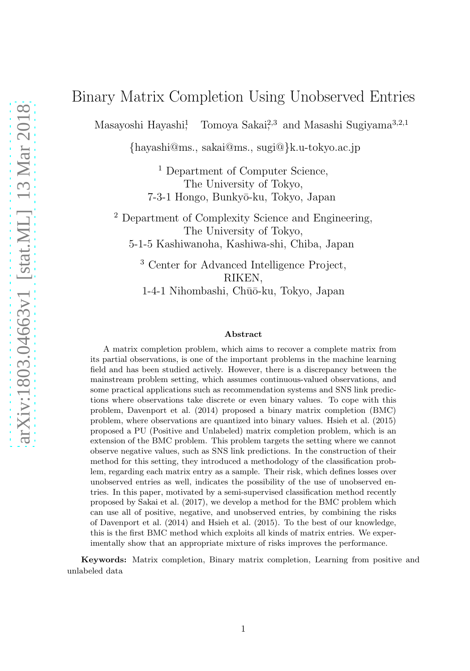# Binary Matrix Completion Using Unobserved Entries

Masayoshi Hayashi<sup>1</sup> Tomoya Sakai<sup>2,3</sup> and Masashi Sugiyama<sup>3,2,1</sup>

{hayashi@ms., sakai@ms., sugi@}k.u-tokyo.ac.jp

<sup>1</sup> Department of Computer Science, The University of Tokyo, 7-3-1 Hongo, Bunkyō-ku, Tokyo, Japan

<sup>2</sup> Department of Complexity Science and Engineering, The University of Tokyo, 5-1-5 Kashiwanoha, Kashiwa-shi, Chiba, Japan

<sup>3</sup> Center for Advanced Intelligence Project, RIKEN, 1-4-1 Nihombashi, Chūō-ku, Tokyo, Japan

#### Abstract

A matrix completion problem, which aims to recover a complete matrix from its partial observations, is one of the important problems in the machine learning field and has been studied actively. However, there is a discrepancy between the mainstream problem setting, which assumes continuous-valued observations, and some practical applications such as recommendation systems and SNS link predictions where observations take discrete or even binary values. To cope with this problem, Davenport et al. (2014) proposed a binary matrix completion (BMC) problem, where observations are quantized into binary values. Hsieh et al. (2015) proposed a PU (Positive and Unlabeled) matrix completion problem, which is an extension of the BMC problem. This problem targets the setting where we cannot observe negative values, such as SNS link predictions. In the construction of their method for this setting, they introduced a methodology of the classification problem, regarding each matrix entry as a sample. Their risk, which defines losses over unobserved entries as well, indicates the possibility of the use of unobserved entries. In this paper, motivated by a semi-supervised classification method recently proposed by Sakai et al. (2017), we develop a method for the BMC problem which can use all of positive, negative, and unobserved entries, by combining the risks of Davenport et al. (2014) and Hsieh et al. (2015). To the best of our knowledge, this is the first BMC method which exploits all kinds of matrix entries. We experimentally show that an appropriate mixture of risks improves the performance.

Keywords: Matrix completion, Binary matrix completion, Learning from positive and unlabeled data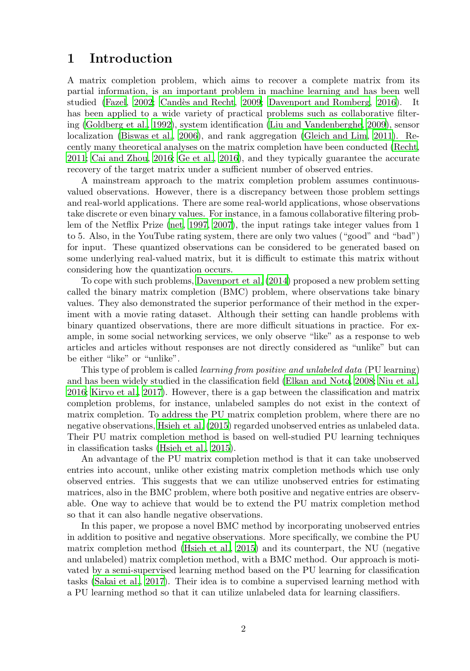## 1 Introduction

A matrix completion problem, which aims to recover a complete matrix from its partial information, is an important problem in machine learning and has been well studied [\(Fazel](#page-28-0), [2002;](#page-28-0) Candès and Recht, 2009; [Davenport and Romberg](#page-27-1), [2016\)](#page-27-1). It has been applied to a wide variety of practical problems such as collaborative filtering [\(Goldberg et al., 1992\)](#page-28-1), system identification [\(Liu and Vandenberghe, 2009\)](#page-29-0), sensor localization [\(Biswas et al., 2006\)](#page-27-2), and rank aggregation [\(Gleich and Lim, 2011\)](#page-28-2). Recently many theoretical analyses on the matrix completion have been conducted [\(Recht](#page-29-1), [2011;](#page-29-1) [Cai and Zhou](#page-27-3), [2016;](#page-27-3) [Ge et al., 2016\)](#page-28-3), and they typically guarantee the accurate recovery of the target matrix under a sufficient number of observed entries.

A mainstream approach to the matrix completion problem assumes continuousvalued observations. However, there is a discrepancy between those problem settings and real-world applications. There are some real-world applications, whose observations take discrete or even binary values. For instance, in a famous collaborative filtering problem of the Netflix Prize [\(net](#page-27-4), [1997,](#page-27-4) [2007\)](#page-27-5), the input ratings take integer values from 1 to 5. Also, in the YouTube rating system, there are only two values ("good" and "bad") for input. These quantized observations can be considered to be generated based on some underlying real-valued matrix, but it is difficult to estimate this matrix without considering how the quantization occurs.

To cope with such problems, [Davenport et al. \(2014](#page-27-6)) proposed a new problem setting called the binary matrix completion (BMC) problem, where observations take binary values. They also demonstrated the superior performance of their method in the experiment with a movie rating dataset. Although their setting can handle problems with binary quantized observations, there are more difficult situations in practice. For example, in some social networking services, we only observe "like" as a response to web articles and articles without responses are not directly considered as "unlike" but can be either "like" or "unlike".

This type of problem is called *learning from positive and unlabeled data* (PU learning) and has been widely studied in the classification field [\(Elkan and Noto, 2008;](#page-28-4) [Niu et al.](#page-29-2), [2016;](#page-29-2) [Kiryo et al., 2017\)](#page-28-5). However, there is a gap between the classification and matrix completion problems, for instance, unlabeled samples do not exist in the context of matrix completion. To address the PU matrix completion problem, where there are no negative observations, [Hsieh et al. \(2015\)](#page-28-6) regarded unobserved entries as unlabeled data. Their PU matrix completion method is based on well-studied PU learning techniques in classification tasks [\(Hsieh et al., 2015\)](#page-28-6).

An advantage of the PU matrix completion method is that it can take unobserved entries into account, unlike other existing matrix completion methods which use only observed entries. This suggests that we can utilize unobserved entries for estimating matrices, also in the BMC problem, where both positive and negative entries are observable. One way to achieve that would be to extend the PU matrix completion method so that it can also handle negative observations.

In this paper, we propose a novel BMC method by incorporating unobserved entries in addition to positive and negative observations. More specifically, we combine the PU matrix completion method [\(Hsieh et al., 2015\)](#page-28-6) and its counterpart, the NU (negative and unlabeled) matrix completion method, with a BMC method. Our approach is motivated by a semi-supervised learning method based on the PU learning for classification tasks [\(Sakai et al., 2017](#page-29-3)). Their idea is to combine a supervised learning method with a PU learning method so that it can utilize unlabeled data for learning classifiers.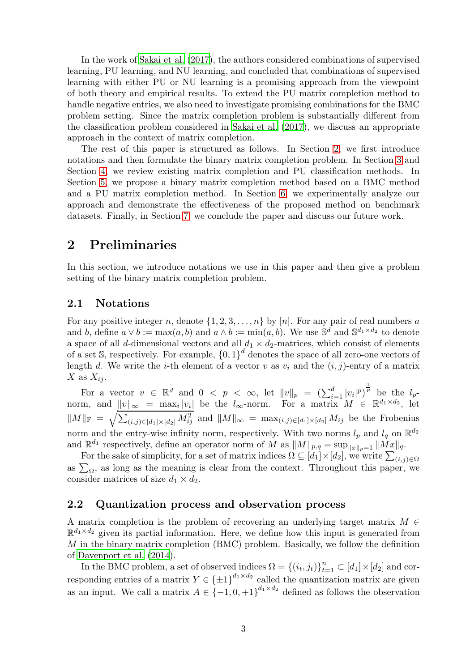In the work of [Sakai et al. \(2017\)](#page-29-3), the authors considered combinations of supervised learning, PU learning, and NU learning, and concluded that combinations of supervised learning with either PU or NU learning is a promising approach from the viewpoint of both theory and empirical results. To extend the PU matrix completion method to handle negative entries, we also need to investigate promising combinations for the BMC problem setting. Since the matrix completion problem is substantially different from the classification problem considered in [Sakai et al. \(2017\)](#page-29-3), we discuss an appropriate approach in the context of matrix completion.

The rest of this paper is structured as follows. In Section [2,](#page-2-0) we first introduce notations and then formulate the binary matrix completion problem. In Section [3](#page-6-0) and Section [4,](#page-13-0) we review existing matrix completion and PU classification methods. In Section [5,](#page-17-0) we propose a binary matrix completion method based on a BMC method and a PU matrix completion method. In Section [6,](#page-22-0) we experimentally analyze our approach and demonstrate the effectiveness of the proposed method on benchmark datasets. Finally, in Section [7,](#page-25-0) we conclude the paper and discuss our future work.

## <span id="page-2-0"></span>2 Preliminaries

In this section, we introduce notations we use in this paper and then give a problem setting of the binary matrix completion problem.

### 2.1 Notations

For any positive integer n, denote  $\{1, 2, 3, ..., n\}$  by [n]. For any pair of real numbers a and b, define  $a \vee b := \max(a, b)$  and  $a \wedge b := \min(a, b)$ . We use  $\mathbb{S}^d$  and  $\mathbb{S}^{d_1 \times d_2}$  to denote a space of all d-dimensional vectors and all  $d_1 \times d_2$ -matrices, which consist of elements of a set S, respectively. For example,  ${0, 1}^d$  denotes the space of all zero-one vectors of length d. We write the *i*-th element of a vector v as  $v_i$  and the  $(i, j)$ -entry of a matrix X as  $X_{ij}$ .

For a vector  $v \in \mathbb{R}^d$  and  $0 < p < \infty$ , let  $||v||_p = (\sum_{i=1}^d |v_i|^p)^{\frac{1}{p}}$  be the  $l_p$ norm, and  $||v||_{\infty} = \max_i |v_i|$  be the  $l_{\infty}$ -norm. For a matrix  $M \in \mathbb{R}^{d_1 \times d_2}$ , let  $||M||_F = \sqrt{\sum_{(i,j)\in[d_1]\times[d_2]} M_{ij}^2}$  and  $||M||_{\infty} = \max_{(i,j)\in[d_1]\times[d_2]} M_{ij}$  be the Frobenius norm and the entry-wise infinity norm, respectively. With two norms  $l_p$  and  $l_q$  on  $\mathbb{R}^{d_2}$ and  $\mathbb{R}^{d_1}$  respectively, define an operator norm of M as  $||M||_{p,q} = \sup_{||x||_p=1} ||Mx||_q$ .

For the sake of simplicity, for a set of matrix indices  $\Omega \subseteq [d_1] \times [d_2]$ , we write  $\sum_{(i,j) \in \Omega}$ as  $\sum_{\Omega}$ , as long as the meaning is clear from the context. Throughout this paper, we consider matrices of size  $d_1 \times d_2$ .

### 2.2 Quantization process and observation process

A matrix completion is the problem of recovering an underlying target matrix  $M \in$  $\mathbb{R}^{d_1 \times d_2}$  given its partial information. Here, we define how this input is generated from  $M$  in the binary matrix completion (BMC) problem. Basically, we follow the definition of [Davenport et al. \(2014\)](#page-27-6).

In the BMC problem, a set of observed indices  $\Omega = \{(i_t, j_t)\}_{t=1}^n \subset [d_1] \times [d_2]$  and corresponding entries of a matrix  $Y \in {\{\pm 1\}}^{d_1 \times d_2}$  called the quantization matrix are given as an input. We call a matrix  $A \in \{-1, 0, +1\}^{d_1 \times d_2}$  defined as follows the observation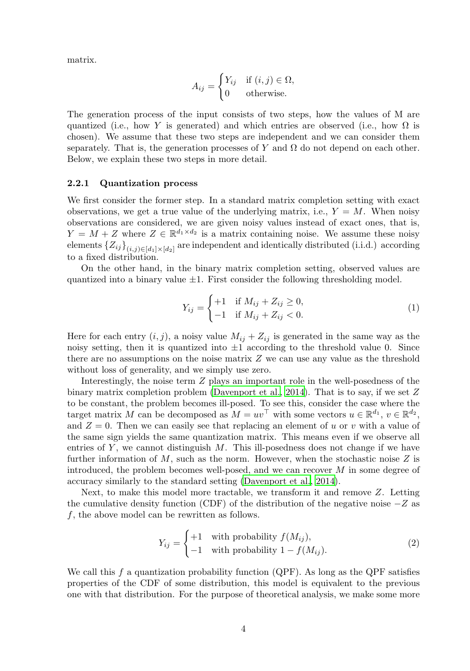matrix.

$$
A_{ij} = \begin{cases} Y_{ij} & \text{if } (i,j) \in \Omega, \\ 0 & \text{otherwise.} \end{cases}
$$

The generation process of the input consists of two steps, how the values of M are quantized (i.e., how Y is generated) and which entries are observed (i.e., how  $\Omega$  is chosen). We assume that these two steps are independent and we can consider them separately. That is, the generation processes of Y and  $\Omega$  do not depend on each other. Below, we explain these two steps in more detail.

#### 2.2.1 Quantization process

We first consider the former step. In a standard matrix completion setting with exact observations, we get a true value of the underlying matrix, i.e.,  $Y = M$ . When noisy observations are considered, we are given noisy values instead of exact ones, that is,  $Y = M + Z$  where  $Z \in \mathbb{R}^{d_1 \times d_2}$  is a matrix containing noise. We assume these noisy elements  ${Z_{ij}}_{(i,j)\in[d_1]\times[d_2]}$  are independent and identically distributed (i.i.d.) according to a fixed distribution.

On the other hand, in the binary matrix completion setting, observed values are quantized into a binary value  $\pm 1$ . First consider the following thresholding model.

<span id="page-3-1"></span>
$$
Y_{ij} = \begin{cases} +1 & \text{if } M_{ij} + Z_{ij} \ge 0, \\ -1 & \text{if } M_{ij} + Z_{ij} < 0. \end{cases}
$$
 (1)

Here for each entry  $(i, j)$ , a noisy value  $M_{ij} + Z_{ij}$  is generated in the same way as the noisy setting, then it is quantized into  $\pm 1$  according to the threshold value 0. Since there are no assumptions on the noise matrix Z we can use any value as the threshold without loss of generality, and we simply use zero.

Interestingly, the noise term  $Z$  plays an important role in the well-posedness of the binary matrix completion problem [\(Davenport et al.](#page-27-6), [2014\)](#page-27-6). That is to say, if we set  $Z$ to be constant, the problem becomes ill-posed. To see this, consider the case where the target matrix M can be decomposed as  $M = uv^{\top}$  with some vectors  $u \in \mathbb{R}^{d_1}$ ,  $v \in \mathbb{R}^{d_2}$ , and  $Z = 0$ . Then we can easily see that replacing an element of u or v with a value of the same sign yields the same quantization matrix. This means even if we observe all entries of  $Y$ , we cannot distinguish  $M$ . This ill-posedness does not change if we have further information of  $M$ , such as the norm. However, when the stochastic noise  $Z$  is introduced, the problem becomes well-posed, and we can recover M in some degree of accuracy similarly to the standard setting [\(Davenport et al., 2014\)](#page-27-6).

Next, to make this model more tractable, we transform it and remove Z. Letting the cumulative density function (CDF) of the distribution of the negative noise  $-Z$  as f, the above model can be rewritten as follows.

<span id="page-3-0"></span>
$$
Y_{ij} = \begin{cases} +1 & \text{with probability } f(M_{ij}), \\ -1 & \text{with probability } 1 - f(M_{ij}). \end{cases}
$$
 (2)

We call this  $f$  a quantization probability function (QPF). As long as the QPF satisfies properties of the CDF of some distribution, this model is equivalent to the previous one with that distribution. For the purpose of theoretical analysis, we make some more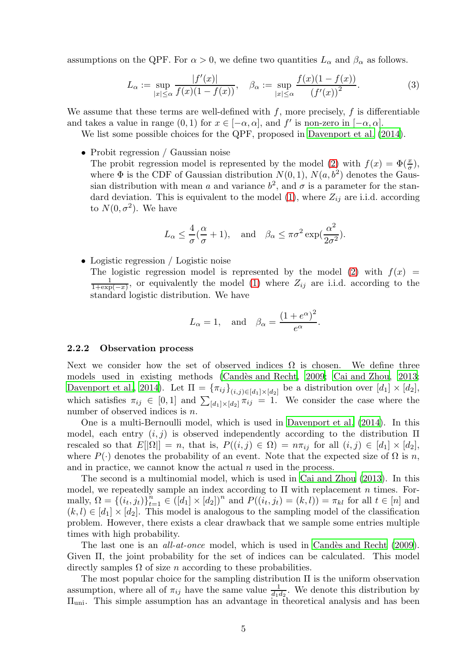assumptions on the QPF. For  $\alpha > 0$ , we define two quantities  $L_{\alpha}$  and  $\beta_{\alpha}$  as follows.

<span id="page-4-1"></span>
$$
L_{\alpha} := \sup_{|x| \le \alpha} \frac{|f'(x)|}{f(x)(1 - f(x))}, \quad \beta_{\alpha} := \sup_{|x| \le \alpha} \frac{f(x)(1 - f(x))}{(f'(x))^2}.
$$
 (3)

We assume that these terms are well-defined with  $f$ , more precisely,  $f$  is differentiable and takes a value in range  $(0,1)$  for  $x \in [-\alpha,\alpha]$ , and  $f'$  is non-zero in  $[-\alpha,\alpha]$ .

We list some possible choices for the QPF, proposed in [Davenport et al. \(2014\)](#page-27-6).

• Probit regression / Gaussian noise

The probit regression model is represented by the model [\(2\)](#page-3-0) with  $f(x) = \Phi(\frac{x}{\sigma})$ , where  $\Phi$  is the CDF of Gaussian distribution  $N(0, 1)$ ,  $N(a, b^2)$  denotes the Gaussian distribution with mean a and variance  $b^2$ , and  $\sigma$  is a parameter for the stan-dard deviation. This is equivalent to the model [\(1\)](#page-3-1), where  $Z_{ij}$  are i.i.d. according to  $N(0, \sigma^2)$ . We have

$$
L_{\alpha} \le \frac{4}{\sigma}(\frac{\alpha}{\sigma} + 1)
$$
, and  $\beta_{\alpha} \le \pi \sigma^2 \exp(\frac{\alpha^2}{2\sigma^2})$ .

• Logistic regression / Logistic noise

The logistic regression model is represented by the model [\(2\)](#page-3-0) with  $f(x) =$  $\frac{1}{1+\exp(-x)}$ , or equivalently the model [\(1\)](#page-3-1) where  $Z_{ij}$  are i.i.d. according to the standard logistic distribution. We have

$$
L_{\alpha} = 1
$$
, and  $\beta_{\alpha} = \frac{(1 + e^{\alpha})^2}{e^{\alpha}}$ .

#### <span id="page-4-0"></span>2.2.2 Observation process

Next we consider how the set of observed indices  $\Omega$  is chosen. We define three models used in existing methods (Candès and Recht, [2009](#page-27-0); [Cai and](#page-27-7) Zhou, [2013](#page-27-7); [Davenport et al.](#page-27-6), [2014\)](#page-27-6). Let  $\Pi = {\pi_{ij}}_{(i,j) \in [d_1] \times [d_2]}$  be a distribution over  $[d_1] \times [d_2]$ , which satisfies  $\pi_{ij} \in [0,1]$  and  $\sum_{[d_1] \times [d_2]} \pi_{ij} = 1$ . We consider the case where the number of observed indices is n.

One is a multi-Bernoulli model, which is used in [Davenport et al. \(2014\)](#page-27-6). In this model, each entry  $(i, j)$  is observed independently according to the distribution  $\Pi$ rescaled so that  $E[|\Omega|] = n$ , that is,  $P((i,j) \in \Omega) = n\pi_{ij}$  for all  $(i,j) \in [d_1] \times [d_2]$ , where  $P(\cdot)$  denotes the probability of an event. Note that the expected size of  $\Omega$  is n, and in practice, we cannot know the actual  $n$  used in the process.

The second is a multinomial model, which is used in [Cai and Zhou \(2013](#page-27-7)). In this model, we repeatedly sample an index according to  $\Pi$  with replacement n times. Formally,  $\Omega = \{(i_t, j_t)\}_{t=1}^n \in ([d_1] \times [d_2])^n$  and  $P((i_t, j_t) = (k, l)) = \pi_{kl}$  for all  $t \in [n]$  and  $(k, l) \in [d_1] \times [d_2]$ . This model is analogous to the sampling model of the classification problem. However, there exists a clear drawback that we sample some entries multiple times with high probability.

The last one is an *all-at-once* model, which is used in Candès and Recht (2009). Given Π, the joint probability for the set of indices can be calculated. This model directly samples  $\Omega$  of size *n* according to these probabilities.

The most popular choice for the sampling distribution Π is the uniform observation assumption, where all of  $\pi_{ij}$  have the same value  $\frac{1}{d_1 d_2}$ . We denote this distribution by Πuni. This simple assumption has an advantage in theoretical analysis and has been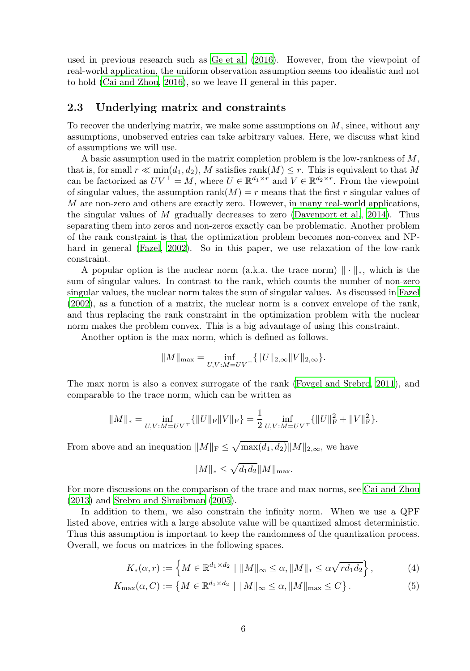used in previous research such as [Ge et al. \(2016\)](#page-28-3). However, from the viewpoint of real-world application, the uniform observation assumption seems too idealistic and not to hold [\(Cai and Zhou, 2016\)](#page-27-3), so we leave Π general in this paper.

### <span id="page-5-1"></span>2.3 Underlying matrix and constraints

To recover the underlying matrix, we make some assumptions on  $M$ , since, without any assumptions, unobserved entries can take arbitrary values. Here, we discuss what kind of assumptions we will use.

A basic assumption used in the matrix completion problem is the low-rankness of M, that is, for small  $r \ll \min(d_1, d_2)$ , M satisfies rank $(M) \leq r$ . This is equivalent to that M can be factorized as  $UV^{\top} = M$ , where  $U \in \mathbb{R}^{d_1 \times r}$  and  $V \in \mathbb{R}^{d_2 \times r}$ . From the viewpoint of singular values, the assumption  $rank(M) = r$  means that the first r singular values of M are non-zero and others are exactly zero. However, in many real-world applications, the singular values of M gradually decreases to zero [\(Davenport et al., 2014\)](#page-27-6). Thus separating them into zeros and non-zeros exactly can be problematic. Another problem of the rank constraint is that the optimization problem becomes non-convex and NP-hard in general [\(Fazel, 2002\)](#page-28-0). So in this paper, we use relaxation of the low-rank constraint.

A popular option is the nuclear norm (a.k.a. the trace norm)  $\|\cdot\|_*$ , which is the sum of singular values. In contrast to the rank, which counts the number of non-zero singular values, the nuclear norm takes the sum of singular values. As discussed in [Fazel](#page-28-0) [\(2002\)](#page-28-0), as a function of a matrix, the nuclear norm is a convex envelope of the rank, and thus replacing the rank constraint in the optimization problem with the nuclear norm makes the problem convex. This is a big advantage of using this constraint.

Another option is the max norm, which is defined as follows.

$$
\|M\|_{\max} = \inf_{U,V:M=UV^\top} \{\|U\|_{2,\infty} \|V\|_{2,\infty}\}.
$$

The max norm is also a convex surrogate of the rank [\(Foygel and Srebro, 2011](#page-28-7)), and comparable to the trace norm, which can be written as

$$
||M||_* = \inf_{U,V:M=UV^{\top}} \{ ||U||_{\mathcal{F}} ||V||_{\mathcal{F}} \} = \frac{1}{2} \inf_{U,V:M=UV^{\top}} \{ ||U||_{\mathcal{F}}^2 + ||V||_{\mathcal{F}}^2 \}.
$$

From above and an inequation  $||M||_F \leq \sqrt{\max(d_1, d_2)} ||M||_{2,\infty}$ , we have

<span id="page-5-2"></span><span id="page-5-0"></span>
$$
||M||_* \leq \sqrt{d_1 d_2} ||M||_{\text{max}}.
$$

For more discussions on the comparison of the trace and max norms, see [Cai and Zhou](#page-27-7) [\(2013\)](#page-27-7) and [Srebro and Shraibman \(2005\)](#page-29-4).

In addition to them, we also constrain the infinity norm. When we use a QPF listed above, entries with a large absolute value will be quantized almost deterministic. Thus this assumption is important to keep the randomness of the quantization process. Overall, we focus on matrices in the following spaces.

$$
K_*(\alpha, r) := \left\{ M \in \mathbb{R}^{d_1 \times d_2} \mid \|M\|_{\infty} \le \alpha, \|M\|_{*} \le \alpha \sqrt{rd_1 d_2} \right\},\tag{4}
$$

$$
K_{\max}(\alpha, C) := \left\{ M \in \mathbb{R}^{d_1 \times d_2} \mid \|M\|_{\infty} \le \alpha, \|M\|_{\max} \le C \right\}.
$$
 (5)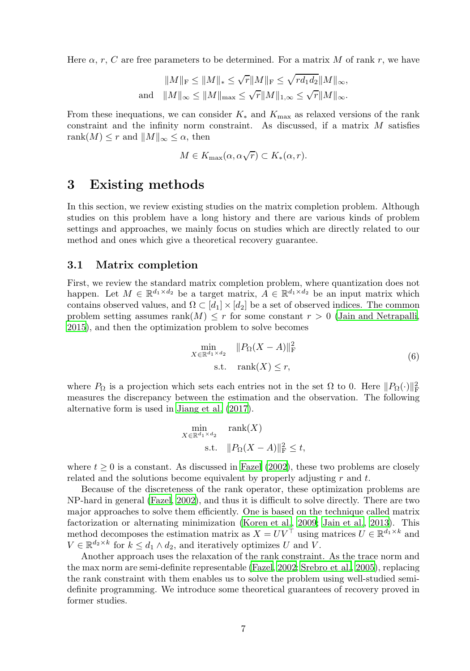Here  $\alpha$ , r, C are free parameters to be determined. For a matrix M of rank r, we have

$$
||M||_{\mathrm{F}} \leq ||M||_* \leq \sqrt{r}||M||_{\mathrm{F}} \leq \sqrt{rd_1d_2}||M||_{\infty},
$$
  
and 
$$
||M||_{\infty} \leq ||M||_{\max} \leq \sqrt{r}||M||_{1,\infty} \leq \sqrt{r}||M||_{\infty}.
$$

From these inequations, we can consider  $K_*$  and  $K_{\text{max}}$  as relaxed versions of the rank constraint and the infinity norm constraint. As discussed, if a matrix M satisfies rank $(M) \leq r$  and  $||M||_{\infty} \leq \alpha$ , then

$$
M \in K_{\max}(\alpha, \alpha \sqrt{r}) \subset K_*(\alpha, r).
$$

## <span id="page-6-0"></span>3 Existing methods

In this section, we review existing studies on the matrix completion problem. Although studies on this problem have a long history and there are various kinds of problem settings and approaches, we mainly focus on studies which are directly related to our method and ones which give a theoretical recovery guarantee.

### 3.1 Matrix completion

First, we review the standard matrix completion problem, where quantization does not happen. Let  $M \in \mathbb{R}^{d_1 \times d_2}$  be a target matrix,  $A \in \mathbb{R}^{d_1 \times d_2}$  be an input matrix which contains observed values, and  $\Omega \subset [d_1] \times [d_2]$  be a set of observed indices. The common problem setting assumes rank $(M) \leq r$  for some constant  $r > 0$  [\(Jain and Netrapalli](#page-28-8), [2015\)](#page-28-8), and then the optimization problem to solve becomes

<span id="page-6-1"></span>
$$
\min_{X \in \mathbb{R}^{d_1 \times d_2}} \|P_{\Omega}(X - A)\|_{\mathcal{F}}^2
$$
\n
$$
\text{s.t.} \quad \text{rank}(X) \le r,\tag{6}
$$

where  $P_{\Omega}$  is a projection which sets each entries not in the set  $\Omega$  to 0. Here  $||P_{\Omega}(\cdot)||_F^2$ measures the discrepancy between the estimation and the observation. The following alternative form is used in [Jiang et al. \(2017\)](#page-28-9).

$$
\min_{X \in \mathbb{R}^{d_1 \times d_2}} \operatorname{rank}(X)
$$
\n
$$
\text{s.t.} \quad ||P_{\Omega}(X - A)||_{\mathcal{F}}^2 \le t,
$$

where  $t \geq 0$  is a constant. As discussed in [Fazel \(2002\)](#page-28-0), these two problems are closely related and the solutions become equivalent by properly adjusting  $r$  and  $t$ .

Because of the discreteness of the rank operator, these optimization problems are NP-hard in general [\(Fazel, 2002\)](#page-28-0), and thus it is difficult to solve directly. There are two major approaches to solve them efficiently. One is based on the technique called matrix factorization or alternating minimization [\(Koren et al., 2009;](#page-28-10) [Jain et al.](#page-28-11), [2013\)](#page-28-11). This method decomposes the estimation matrix as  $X = UV^{\top}$  using matrices  $U \in \mathbb{R}^{d_1 \times k}$  and  $V \in \mathbb{R}^{d_2 \times k}$  for  $k \leq d_1 \wedge d_2$ , and iteratively optimizes U and V.

Another approach uses the relaxation of the rank constraint. As the trace norm and the max norm are semi-definite representable [\(Fazel, 2002;](#page-28-0) [Srebro et al., 2005\)](#page-29-5), replacing the rank constraint with them enables us to solve the problem using well-studied semidefinite programming. We introduce some theoretical guarantees of recovery proved in former studies.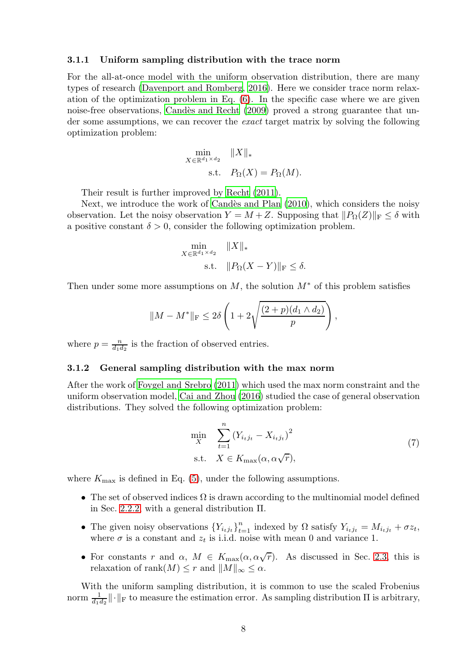#### 3.1.1 Uniform sampling distribution with the trace norm

For the all-at-once model with the uniform observation distribution, there are many types of research [\(Davenport and Romberg](#page-27-1), [2016](#page-27-1)). Here we consider trace norm relaxation of the optimization problem in Eq. [\(6\)](#page-6-1). In the specific case where we are given noise-free observations, Candès and Recht (2009) proved a strong guarantee that under some assumptions, we can recover the *exact* target matrix by solving the following optimization problem:

$$
\min_{X \in \mathbb{R}^{d_1 \times d_2}} \|X\|_{*}
$$
  
s.t.  $P_{\Omega}(X) = P_{\Omega}(M)$ .

Their result is further improved by [Recht \(2011\)](#page-29-1).

Next, we introduce the work of Candès and Plan (2010), which considers the noisy observation. Let the noisy observation  $Y = M + Z$ . Supposing that  $||P_{\Omega}(Z)||_F \le \delta$  with a positive constant  $\delta > 0$ , consider the following optimization problem.

$$
\min_{X \in \mathbb{R}^{d_1 \times d_2}} \|X\|_{*}
$$
  
s.t. 
$$
\|P_{\Omega}(X - Y)\|_{\mathcal{F}} \le \delta.
$$

Then under some more assumptions on M, the solution  $M^*$  of this problem satisfies

$$
||M - M^*||_{\mathrm{F}} \leq 2\delta \left(1 + 2\sqrt{\frac{(2+p)(d_1 \wedge d_2)}{p}}\right),
$$

where  $p = \frac{n}{d_1 d_2}$  is the fraction of observed entries.

#### 3.1.2 General sampling distribution with the max norm

After the work of [Foygel and Srebro \(2011\)](#page-28-7) which used the max norm constraint and the uniform observation model, [Cai and Zhou \(2016\)](#page-27-3) studied the case of general observation distributions. They solved the following optimization problem:

<span id="page-7-0"></span>
$$
\min_{X} \sum_{t=1}^{n} (Y_{i_t j_t} - X_{i_t j_t})^2
$$
\n
$$
\text{s.t.} \quad X \in K_{\text{max}}(\alpha, \alpha \sqrt{r}), \tag{7}
$$

where  $K_{\text{max}}$  is defined in Eq. [\(5\)](#page-5-0), under the following assumptions.

- The set of observed indices  $\Omega$  is drawn according to the multinomial model defined in Sec. [2.2.2,](#page-4-0) with a general distribution Π.
- The given noisy observations  ${Y_{i_t j_t}}_{t=1}^n$  indexed by  $\Omega$  satisfy  $Y_{i_t j_t} = M_{i_t j_t} + \sigma z_t$ , where  $\sigma$  is a constant and  $z_t$  is i.i.d. noise with mean 0 and variance 1.
- For constants r and  $\alpha$ ,  $M \in K_{\text{max}}(\alpha, \alpha\sqrt{r})$ . As discussed in Sec. [2.3,](#page-5-1) this is relaxation of rank $(M) \leq r$  and  $||M||_{\infty} \leq \alpha$ .

With the uniform sampling distribution, it is common to use the scaled Frobenius norm  $\frac{1}{d_1 d_2} \|\cdot\|_F$  to measure the estimation error. As sampling distribution  $\Pi$  is arbitrary,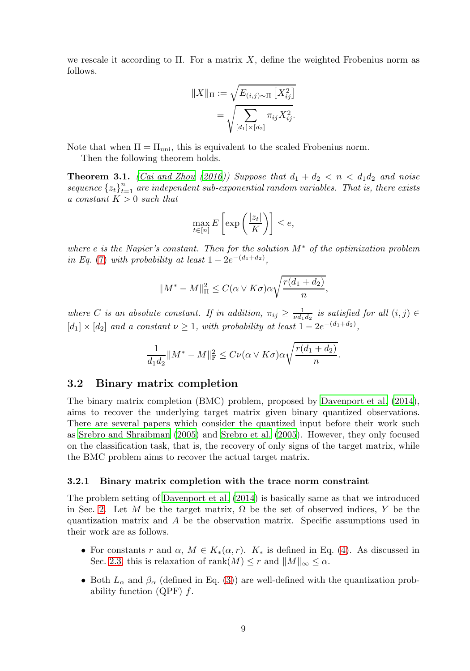we rescale it according to  $\Pi$ . For a matrix X, define the weighted Frobenius norm as follows.

$$
||X||_{\Pi} := \sqrt{E_{(i,j)\sim\Pi} [X_{ij}^2]}
$$
  
= 
$$
\sqrt{\sum_{[d_1] \times [d_2]} \pi_{ij} X_{ij}^2}.
$$

Note that when  $\Pi = \Pi_{\text{uni}}$ , this is equivalent to the scaled Frobenius norm.

Then the following theorem holds.

<span id="page-8-1"></span>**Theorem 3.1.** *[\(Cai and Zhou \(2016](#page-27-3))) Suppose that*  $d_1 + d_2 < n < d_1d_2$  *and noise* sequence  $\{z_t\}_{t=1}^n$  are independent sub-exponential random variables. That is, there exists *a constant* K > 0 *such that*

$$
\max_{t \in [n]} E\left[\exp\left(\frac{|z_t|}{K}\right)\right] \le e,
$$

*where* e *is the Napier's constant. Then for the solution* M<sup>∗</sup> *of the optimization problem in Eq.* [\(7\)](#page-7-0) *with probability at least*  $1 - 2e^{-(d_1 + d_2)}$ ,

$$
||M^* - M||_{\Pi}^2 \le C(\alpha \vee K\sigma)\alpha \sqrt{\frac{r(d_1 + d_2)}{n}},
$$

where *C* is an absolute constant. If in addition,  $\pi_{ij} \geq \frac{1}{\nu d_1 d_2}$  is satisfied for all  $(i, j) \in$  $[d_1] \times [d_2]$  *and a constant*  $\nu \geq 1$ *, with probability at least*  $1 - 2e^{-(d_1 + d_2)}$ *,* 

$$
\frac{1}{d_1 d_2} ||M^* - M||^2 \leq C \nu(\alpha \vee K\sigma) \alpha \sqrt{\frac{r(d_1 + d_2)}{n}}.
$$

#### 3.2 Binary matrix completion

The binary matrix completion (BMC) problem, proposed by [Davenport et al. \(2014\)](#page-27-6), aims to recover the underlying target matrix given binary quantized observations. There are several papers which consider the quantized input before their work such as [Srebro and Shraibman \(2005\)](#page-29-4) and [Srebro et al. \(2005\)](#page-29-5). However, they only focused on the classification task, that is, the recovery of only signs of the target matrix, while the BMC problem aims to recover the actual target matrix.

#### <span id="page-8-0"></span>3.2.1 Binary matrix completion with the trace norm constraint

The problem setting of [Davenport et al. \(2014\)](#page-27-6) is basically same as that we introduced in Sec. [2.](#page-2-0) Let M be the target matrix,  $\Omega$  be the set of observed indices, Y be the quantization matrix and A be the observation matrix. Specific assumptions used in their work are as follows.

- For constants r and  $\alpha$ ,  $M \in K_*(\alpha, r)$ .  $K_*$  is defined in Eq. [\(4\)](#page-5-2). As discussed in Sec. [2.3,](#page-5-1) this is relaxation of rank $(M) \leq r$  and  $||M||_{\infty} \leq \alpha$ .
- Both  $L_{\alpha}$  and  $\beta_{\alpha}$  (defined in Eq. [\(3\)](#page-4-1)) are well-defined with the quantization probability function  $(QPF)$  f.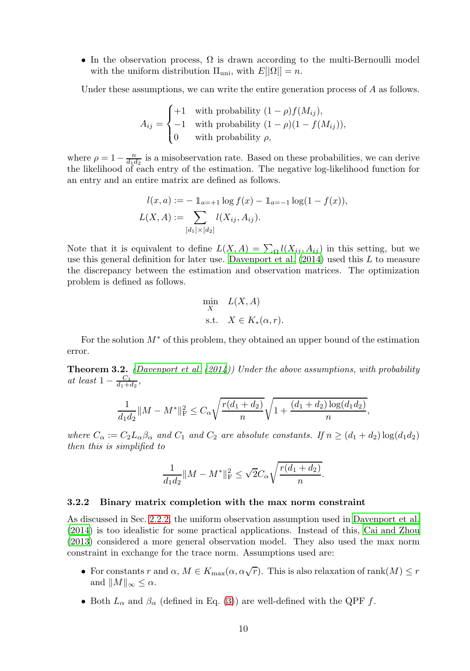• In the observation process,  $\Omega$  is drawn according to the multi-Bernoulli model with the uniform distribution  $\Pi_{\text{uni}}$ , with  $E[|\Omega|] = n$ .

Under these assumptions, we can write the entire generation process of A as follows.

$$
A_{ij} = \begin{cases} +1 & \text{with probability } (1 - \rho)f(M_{ij}), \\ -1 & \text{with probability } (1 - \rho)(1 - f(M_{ij})), \\ 0 & \text{with probability } \rho, \end{cases}
$$

where  $\rho = 1 - \frac{n}{d_1 d_2}$  is a misobservation rate. Based on these probabilities, we can derive the likelihood of each entry of the estimation. The negative log-likelihood function for an entry and an entire matrix are defined as follows.

$$
l(x, a) := - \mathbb{1}_{a = +1} \log f(x) - \mathbb{1}_{a = -1} \log(1 - f(x)),
$$
  
\n
$$
L(X, A) := \sum_{[d_1] \times [d_2]} l(X_{ij}, A_{ij}).
$$

Note that it is equivalent to define  $L(X, A) = \sum_{\Omega} l(X_{ij}, A_{ij})$  in this setting, but we use this general definition for later use. Davenport et al.  $(2014)$  used this L to measure the discrepancy between the estimation and observation matrices. The optimization problem is defined as follows.

$$
\min_{X} L(X, A)
$$
  
s.t.  $X \in K_*(\alpha, r)$ .

For the solution  $M^*$  of this problem, they obtained an upper bound of the estimation error.

Theorem 3.2. *[\(Davenport et al. \(2014](#page-27-6))) Under the above assumptions, with probability at least*  $1 - \frac{C_1}{d_1 + d_2}$ ,

$$
\frac{1}{d_1 d_2} ||M - M^*||_{\mathrm{F}}^2 \leq C_{\alpha} \sqrt{\frac{r(d_1 + d_2)}{n}} \sqrt{1 + \frac{(d_1 + d_2) \log(d_1 d_2)}{n}},
$$

*where*  $C_{\alpha} := C_2 L_{\alpha} \beta_{\alpha}$  *and*  $C_1$  *and*  $C_2$  *are absolute constants. If*  $n \geq (d_1 + d_2) \log(d_1 d_2)$ *then this is simplified to*

$$
\frac{1}{d_1d_2}||M - M^*||_{\mathrm{F}}^2 \le \sqrt{2}C_{\alpha}\sqrt{\frac{r(d_1 + d_2)}{n}}
$$

.

#### 3.2.2 Binary matrix completion with the max norm constraint

As discussed in Sec. [2.2.2,](#page-4-0) the uniform observation assumption used in [Davenport et al.](#page-27-6) [\(2014\)](#page-27-6) is too idealistic for some practical applications. Instead of this, [Cai and Zhou](#page-27-7) [\(2013\)](#page-27-7) considered a more general observation model. They also used the max norm constraint in exchange for the trace norm. Assumptions used are:

- For constants r and  $\alpha$ ,  $M \in K_{\max}(\alpha, \alpha\sqrt{r})$ . This is also relaxation of rank $(M) \leq r$ and  $||M||_{\infty} \leq \alpha$ .
- Both  $L_{\alpha}$  and  $\beta_{\alpha}$  (defined in Eq. [\(3\)](#page-4-1)) are well-defined with the QPF f.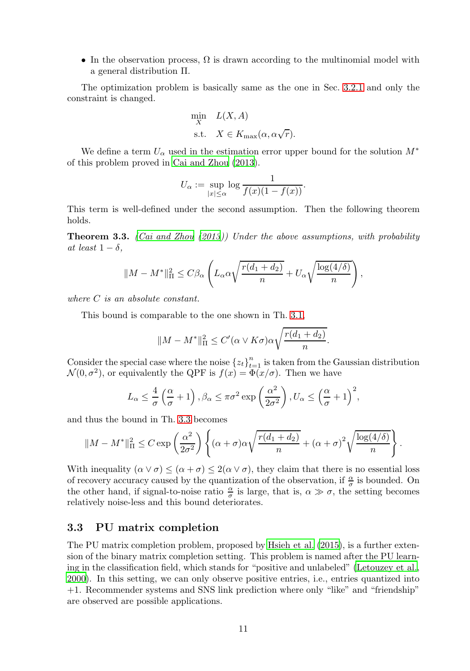• In the observation process,  $\Omega$  is drawn according to the multinomial model with a general distribution Π.

The optimization problem is basically same as the one in Sec. [3.2.1](#page-8-0) and only the constraint is changed.

$$
\begin{aligned}\n\min_{X} \quad & L(X, A) \\
\text{s.t.} \quad & X \in K_{\text{max}}(\alpha, \alpha \sqrt{r}).\n\end{aligned}
$$

We define a term  $U_{\alpha}$  used in the estimation error upper bound for the solution  $M^*$ of this problem proved in [Cai and Zhou \(2013\)](#page-27-7).

$$
U_{\alpha} := \sup_{|x| \le \alpha} \log \frac{1}{f(x)(1 - f(x))}.
$$

This term is well-defined under the second assumption. Then the following theorem holds.

<span id="page-10-0"></span>Theorem 3.3. *[\(Cai and Zhou \(2013](#page-27-7))) Under the above assumptions, with probability at least*  $1 - \delta$ *,* 

$$
||M - M^*||_{\Pi}^2 \leq C\beta_{\alpha} \left( L_{\alpha} \alpha \sqrt{\frac{r(d_1 + d_2)}{n}} + U_{\alpha} \sqrt{\frac{\log(4/\delta)}{n}} \right),
$$

*where* C *is an absolute constant.*

This bound is comparable to the one shown in Th. [3.1,](#page-8-1)

$$
||M - M^*||^2_{\Pi} \le C'(\alpha \vee K\sigma)\alpha \sqrt{\frac{r(d_1 + d_2)}{n}}.
$$

Consider the special case where the noise  $\{z_t\}_{t=1}^n$  is taken from the Gaussian distribution  $\mathcal{N}(0, \sigma^2)$ , or equivalently the QPF is  $f(x) = \Phi(x/\sigma)$ . Then we have

$$
L_{\alpha} \le \frac{4}{\sigma} \left( \frac{\alpha}{\sigma} + 1 \right), \beta_{\alpha} \le \pi \sigma^2 \exp \left( \frac{\alpha^2}{2\sigma^2} \right), U_{\alpha} \le \left( \frac{\alpha}{\sigma} + 1 \right)^2,
$$

and thus the bound in Th. [3.3](#page-10-0) becomes

$$
||M - M^*||_{\Pi}^2 \le C \exp\left(\frac{\alpha^2}{2\sigma^2}\right) \left\{ (\alpha + \sigma)\alpha \sqrt{\frac{r(d_1 + d_2)}{n}} + (\alpha + \sigma)^2 \sqrt{\frac{\log(4/\delta)}{n}} \right\}.
$$

With inequality  $(\alpha \vee \sigma) \leq (\alpha + \sigma) \leq 2(\alpha \vee \sigma)$ , they claim that there is no essential loss of recovery accuracy caused by the quantization of the observation, if  $\frac{\alpha}{\sigma}$  is bounded. On the other hand, if signal-to-noise ratio  $\frac{\alpha}{\sigma}$  is large, that is,  $\alpha \gg \sigma$ , the setting becomes relatively noise-less and this bound deteriorates.

#### 3.3 PU matrix completion

The PU matrix completion problem, proposed by [Hsieh et al. \(2015\)](#page-28-6), is a further extension of the binary matrix completion setting. This problem is named after the PU learning in the classification field, which stands for "positive and unlabeled" [\(Letouzey et al.](#page-29-6), [2000\)](#page-29-6). In this setting, we can only observe positive entries, i.e., entries quantized into +1. Recommender systems and SNS link prediction where only "like" and "friendship" are observed are possible applications.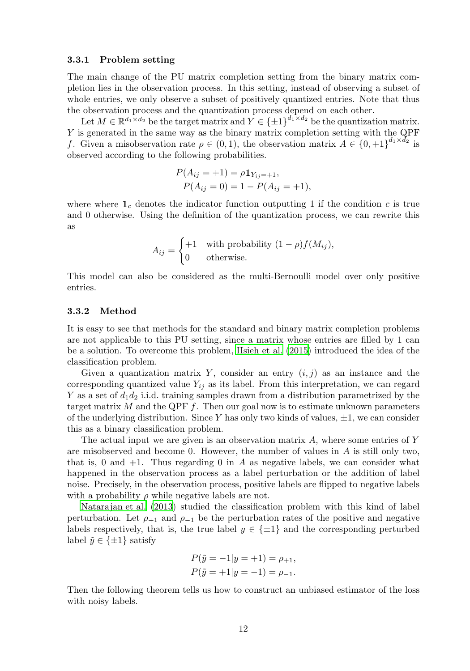#### 3.3.1 Problem setting

The main change of the PU matrix completion setting from the binary matrix completion lies in the observation process. In this setting, instead of observing a subset of whole entries, we only observe a subset of positively quantized entries. Note that thus the observation process and the quantization process depend on each other.

Let  $M \in \mathbb{R}^{d_1 \times d_2}$  be the target matrix and  $Y \in {\{\pm 1\}}^{d_1 \times d_2}$  be the quantization matrix. Y is generated in the same way as the binary matrix completion setting with the QPF f. Given a misobservation rate  $\rho \in (0,1)$ , the observation matrix  $A \in \{0,+1\}^{d_1 \times d_2}$  is observed according to the following probabilities.

$$
P(A_{ij} = +1) = \rho \mathbb{1}_{Y_{ij} = +1},
$$
  
 
$$
P(A_{ij} = 0) = 1 - P(A_{ij} = +1),
$$

where where  $\mathbb{1}_{c}$  denotes the indicator function outputting 1 if the condition c is true and 0 otherwise. Using the definition of the quantization process, we can rewrite this as

$$
A_{ij} = \begin{cases} +1 & \text{with probability } (1 - \rho)f(M_{ij}), \\ 0 & \text{otherwise.} \end{cases}
$$

This model can also be considered as the multi-Bernoulli model over only positive entries.

#### 3.3.2 Method

It is easy to see that methods for the standard and binary matrix completion problems are not applicable to this PU setting, since a matrix whose entries are filled by 1 can be a solution. To overcome this problem, [Hsieh et al. \(2015](#page-28-6)) introduced the idea of the classification problem.

Given a quantization matrix Y, consider an entry  $(i, j)$  as an instance and the corresponding quantized value  $Y_{ij}$  as its label. From this interpretation, we can regard Y as a set of  $d_1d_2$  i.i.d. training samples drawn from a distribution parametrized by the target matrix  $M$  and the QPF  $f$ . Then our goal now is to estimate unknown parameters of the underlying distribution. Since Y has only two kinds of values,  $\pm 1$ , we can consider this as a binary classification problem.

The actual input we are given is an observation matrix  $A$ , where some entries of Y are misobserved and become 0. However, the number of values in A is still only two, that is, 0 and  $+1$ . Thus regarding 0 in A as negative labels, we can consider what happened in the observation process as a label perturbation or the addition of label noise. Precisely, in the observation process, positive labels are flipped to negative labels with a probability  $\rho$  while negative labels are not.

[Natarajan et al. \(2013](#page-29-7)) studied the classification problem with this kind of label perturbation. Let  $\rho_{+1}$  and  $\rho_{-1}$  be the perturbation rates of the positive and negative labels respectively, that is, the true label  $y \in {\pm 1}$  and the corresponding perturbed label  $\tilde{y} \in {\pm 1}$  satisfy

$$
P(\tilde{y} = -1|y = +1) = \rho_{+1},
$$
  

$$
P(\tilde{y} = +1|y = -1) = \rho_{-1}.
$$

Then the following theorem tells us how to construct an unbiased estimator of the loss with noisy labels.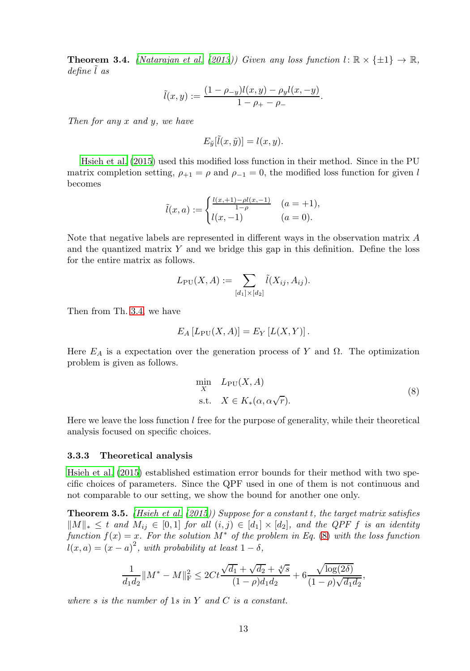<span id="page-12-0"></span>**Theorem 3.4.** *[\(Natarajan et al. \(2013](#page-29-7))) Given any loss function*  $l: \mathbb{R} \times \{\pm 1\} \to \mathbb{R}$ , *define* ˜l *as*

$$
\tilde{l}(x,y) := \frac{(1 - \rho_{-y})l(x,y) - \rho_{y}l(x,-y)}{1 - \rho_{+} - \rho_{-}}.
$$

*Then for any* x *and* y*, we have*

$$
E_{\tilde{y}}[\tilde{l}(x,\tilde{y})] = l(x,y).
$$

[Hsieh et al. \(2015](#page-28-6)) used this modified loss function in their method. Since in the PU matrix completion setting,  $\rho_{+1} = \rho$  and  $\rho_{-1} = 0$ , the modified loss function for given l becomes

$$
\tilde{l}(x, a) := \begin{cases} \frac{l(x, +1) - \rho l(x, -1)}{1 - \rho} & (a = +1), \\ l(x, -1) & (a = 0). \end{cases}
$$

Note that negative labels are represented in different ways in the observation matrix A and the quantized matrix  $Y$  and we bridge this gap in this definition. Define the loss for the entire matrix as follows.

$$
L_{\rm PU}(X, A) := \sum_{[d_1] \times [d_2]} \tilde{l}(X_{ij}, A_{ij}).
$$

Then from Th. [3.4,](#page-12-0) we have

$$
E_A [L_{\rm PU}(X, A)] = E_Y [L(X, Y)].
$$

Here  $E_A$  is a expectation over the generation process of Y and  $\Omega$ . The optimization problem is given as follows.

<span id="page-12-1"></span>
$$
\min_{X} L_{\text{PU}}(X, A) \n\text{s.t.} \quad X \in K_*(\alpha, \alpha\sqrt{r}).
$$
\n(8)

Here we leave the loss function  $l$  free for the purpose of generality, while their theoretical analysis focused on specific choices.

#### 3.3.3 Theoretical analysis

[Hsieh et al. \(2015\)](#page-28-6) established estimation error bounds for their method with two specific choices of parameters. Since the QPF used in one of them is not continuous and not comparable to our setting, we show the bound for another one only.

Theorem 3.5. *[\(Hsieh et al. \(2015](#page-28-6))) Suppose for a constant* t*, the target matrix satisfies*  $\|M\|_{*}$  ≤ t and  $M_{ij}$  ∈ [0,1] *for all*  $(i, j)$  ∈ [d<sub>1</sub>] × [d<sub>2</sub>]*, and the QPF f is an identity function*  $f(x) = x$ *. For the solution*  $M^*$  *of the problem in Eq.* [\(8\)](#page-12-1) *with the loss function*  $l(x,a) = (x - a)^2$ , with probability at least  $1 - \delta$ ,

$$
\frac{1}{d_1d_2}||M^*-M||_{\mathrm{F}}^2 \leq 2Ct\frac{\sqrt{d_1}+\sqrt{d_2}+\sqrt[4]{s}}{(1-\rho)d_1d_2}+6\frac{\sqrt{\log(2\delta)}}{(1-\rho)\sqrt{d_1d_2}},
$$

*where* s *is the number of* 1*s in* Y *and* C *is a constant.*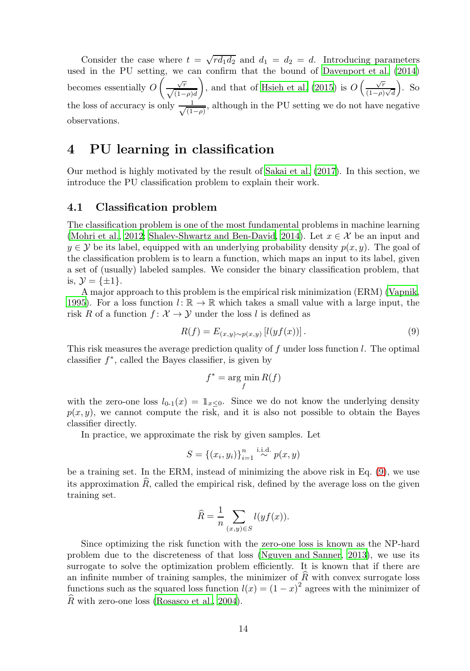Consider the case where  $t = \sqrt{r d_1 d_2}$  and  $d_1 = d_2 = d$ . Introducing parameters used in the PU setting, we can confirm that the bound of [Davenport](#page-27-6) et al. [\(2014](#page-27-6)) becomes essentially O  $\left(\frac{\sqrt{r}}{\sqrt{(1-\rho)d}}\right)$  $\setminus$ , and that of [Hsieh et al. \(2015\)](#page-28-6) is  $O\left(\frac{\sqrt{r}}{(1-r)}\right)$  $(1-\rho)\sqrt{d}$  $\big)$ . So the loss of accuracy is only  $\frac{1}{\sqrt{1}}$  $\frac{1}{(1-\rho)}$ , although in the PU setting we do not have negative observations.

## <span id="page-13-0"></span>4 PU learning in classification

Our method is highly motivated by the result of [Sakai et al. \(2017](#page-29-3)). In this section, we introduce the PU classification problem to explain their work.

### 4.1 Classification problem

The classification problem is one of the most fundamental problems in machine learning [\(Mohri et al., 2012;](#page-29-8) [Shalev-Shwartz and Ben-David](#page-29-9), [2014\)](#page-29-9). Let  $x \in \mathcal{X}$  be an input and  $y \in \mathcal{Y}$  be its label, equipped with an underlying probability density  $p(x, y)$ . The goal of the classification problem is to learn a function, which maps an input to its label, given a set of (usually) labeled samples. We consider the binary classification problem, that is,  $\mathcal{Y} = {\pm 1}.$ 

A major approach to this problem is the empirical risk minimization (ERM) [\(Vapnik](#page-29-10), [1995\)](#page-29-10). For a loss function  $l: \mathbb{R} \to \mathbb{R}$  which takes a small value with a large input, the risk R of a function  $f: \mathcal{X} \to \mathcal{Y}$  under the loss l is defined as

$$
R(f) = E_{(x,y)\sim p(x,y)} [l(yf(x))].
$$
\n(9)

This risk measures the average prediction quality of f under loss function l. The optimal classifier  $f^*$ , called the Bayes classifier, is given by

<span id="page-13-1"></span>
$$
f^* = \arg\min_f R(f)
$$

with the zero-one loss  $l_{0-1}(x) = \mathbb{1}_{x\leq 0}$ . Since we do not know the underlying density  $p(x, y)$ , we cannot compute the risk, and it is also not possible to obtain the Bayes classifier directly.

In practice, we approximate the risk by given samples. Let

$$
S = \{(x_i, y_i)\}_{i=1}^n \stackrel{\text{i.i.d.}}{\sim} p(x, y)
$$

be a training set. In the ERM, instead of minimizing the above risk in Eq. [\(9\)](#page-13-1), we use its approximation  $\hat{R}$ , called the empirical risk, defined by the average loss on the given training set.

$$
\widehat{R} = \frac{1}{n} \sum_{(x,y) \in S} l(yf(x)).
$$

Since optimizing the risk function with the zero-one loss is known as the NP-hard problem due to the discreteness of that loss [\(Nguyen and Sanner,](#page-29-11) [2013](#page-29-11)), we use its surrogate to solve the optimization problem efficiently. It is known that if there are an infinite number of training samples, the minimizer of  $\widehat{R}$  with convex surrogate loss functions such as the squared loss function  $l(x) = (1 - x)^2$  agrees with the minimizer of  $\widehat{R}$  with zero-one loss [\(Rosasco et al., 2004\)](#page-29-12).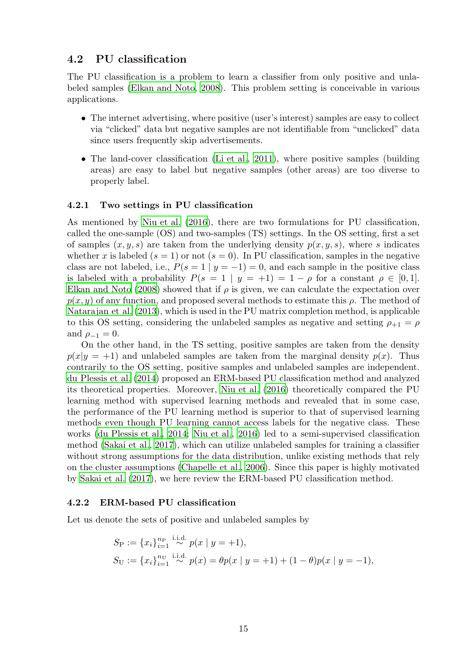### 4.2 PU classification

The PU classification is a problem to learn a classifier from only positive and unlabeled samples [\(Elkan and Noto](#page-28-4), [2008\)](#page-28-4). This problem setting is conceivable in various applications.

- The internet advertising, where positive (user's interest) samples are easy to collect via "clicked" data but negative samples are not identifiable from "unclicked" data since users frequently skip advertisements.
- The land-cover classification [\(Li et al., 2011\)](#page-29-13), where positive samples (building areas) are easy to label but negative samples (other areas) are too diverse to properly label.

#### 4.2.1 Two settings in PU classification

As mentioned by [Niu et al. \(2016](#page-29-2)), there are two formulations for PU classification, called the one-sample (OS) and two-samples (TS) settings. In the OS setting, first a set of samples  $(x, y, s)$  are taken from the underlying density  $p(x, y, s)$ , where s indicates whether x is labeled ( $s = 1$ ) or not ( $s = 0$ ). In PU classification, samples in the negative class are not labeled, i.e.,  $P(s = 1 | y = -1) = 0$ , and each sample in the positive class is labeled with a probability  $P(s = 1 | y = +1) = 1 - \rho$  for a constant  $\rho \in [0, 1]$ . [Elkan and Noto \(2008\)](#page-28-4) showed that if  $\rho$  is given, we can calculate the expectation over  $p(x, y)$  of any function, and proposed several methods to estimate this  $\rho$ . The method of [Natarajan et al. \(2013\)](#page-29-7), which is used in the PU matrix completion method, is applicable to this OS setting, considering the unlabeled samples as negative and setting  $\rho_{+1} = \rho$ and  $\rho_{-1}=0$ .

On the other hand, in the TS setting, positive samples are taken from the density  $p(x|y = +1)$  and unlabeled samples are taken from the marginal density  $p(x)$ . Thus contrarily to the OS setting, positive samples and unlabeled samples are independent. [du Plessis et al. \(2014](#page-28-12)) proposed an ERM-based PU classification method and analyzed its theoretical properties. Moreover, [Niu et al. \(2016\)](#page-29-2) theoretically compared the PU learning method with supervised learning methods and revealed that in some case, the performance of the PU learning method is superior to that of supervised learning methods even though PU learning cannot access labels for the negative class. These works [\(du Plessis et al., 2014;](#page-28-12) [Niu et al., 2016\)](#page-29-2) led to a semi-supervised classification method [\(Sakai et al.](#page-29-3), [2017\)](#page-29-3), which can utilize unlabeled samples for training a classifier without strong assumptions for the data distribution, unlike existing methods that rely on the cluster assumptions [\(Chapelle et al., 2006\)](#page-27-9). Since this paper is highly motivated by [Sakai et al. \(2017\)](#page-29-3), we here review the ERM-based PU classification method.

#### 4.2.2 ERM-based PU classification

Let us denote the sets of positive and unlabeled samples by

$$
S_P := \{x_i\}_{i=1}^{n_P} \stackrel{\text{i.i.d.}}{\sim} p(x \mid y = +1),
$$
  
\n
$$
S_U := \{x_i\}_{i=1}^{n_U} \stackrel{\text{i.i.d.}}{\sim} p(x) = \theta p(x \mid y = +1) + (1 - \theta)p(x \mid y = -1),
$$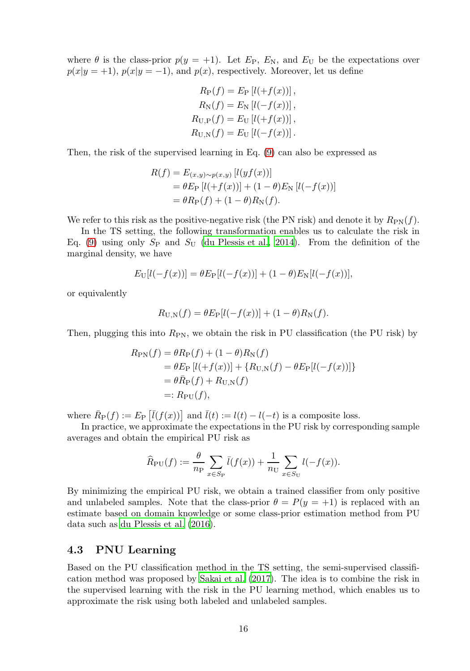where  $\theta$  is the class-prior  $p(y = +1)$ . Let  $E_P$ ,  $E_N$ , and  $E_U$  be the expectations over  $p(x|y = 1)$ ,  $p(x|y = -1)$ , and  $p(x)$ , respectively. Moreover, let us define

$$
R_{P}(f) = E_{P} [l(+f(x))],
$$
  
\n
$$
R_{N}(f) = E_{N} [l(-f(x))],
$$
  
\n
$$
R_{U,P}(f) = E_{U} [l(+f(x))],
$$
  
\n
$$
R_{U,N}(f) = E_{U} [l(-f(x))].
$$

Then, the risk of the supervised learning in Eq. [\(9\)](#page-13-1) can also be expressed as

$$
R(f) = E_{(x,y)\sim p(x,y)} [l(yf(x))]
$$
  
=  $\theta E_{\text{P}} [l(+f(x))] + (1-\theta)E_{\text{N}} [l(-f(x))]$   
=  $\theta R_{\text{P}}(f) + (1-\theta)R_{\text{N}}(f).$ 

We refer to this risk as the positive-negative risk (the PN risk) and denote it by  $R_{\rm PN}(f)$ .

In the TS setting, the following transformation enables us to calculate the risk in Eq. [\(9\)](#page-13-1) using only  $S_P$  and  $S_U$  [\(du Plessis et al., 2014](#page-28-12)). From the definition of the marginal density, we have

$$
E_{\rm U}[l(-f(x))] = \theta E_{\rm P}[l(-f(x))] + (1 - \theta)E_{\rm N}[l(-f(x))],
$$

or equivalently

$$
R_{\text{U,N}}(f) = \theta E_{\text{P}}[l(-f(x))] + (1 - \theta)R_{\text{N}}(f).
$$

Then, plugging this into  $R_{\text{PN}}$ , we obtain the risk in PU classification (the PU risk) by

$$
R_{\rm PN}(f) = \theta R_{\rm P}(f) + (1 - \theta) R_{\rm N}(f)
$$
  
=  $\theta E_{\rm P} [l(+f(x))] + \{R_{\rm U,N}(f) - \theta E_{\rm P}[l(-f(x))]\}$   
=  $\theta \bar{R}_{\rm P}(f) + R_{\rm U,N}(f)$   
=:  $R_{\rm PU}(f)$ ,

where  $\overline{R}_{\mathbf{P}}(f) := E_{\mathbf{P}}[\overline{l}(f(x))]$  and  $\overline{l}(t) := l(t) - l(-t)$  is a composite loss.

In practice, we approximate the expectations in the PU risk by corresponding sample averages and obtain the empirical PU risk as

$$
\widehat{R}_{\rm PU}(f) := \frac{\theta}{n_{\rm P}} \sum_{x \in S_{\rm P}} \overline{l}(f(x)) + \frac{1}{n_{\rm U}} \sum_{x \in S_{\rm U}} l(-f(x)).
$$

By minimizing the empirical PU risk, we obtain a trained classifier from only positive and unlabeled samples. Note that the class-prior  $\theta = P(y = +1)$  is replaced with an estimate based on domain knowledge or some class-prior estimation method from PU data such as [du Plessis et al. \(2016\)](#page-28-13).

### 4.3 PNU Learning

Based on the PU classification method in the TS setting, the semi-supervised classification method was proposed by [Sakai et al. \(2017](#page-29-3)). The idea is to combine the risk in the supervised learning with the risk in the PU learning method, which enables us to approximate the risk using both labeled and unlabeled samples.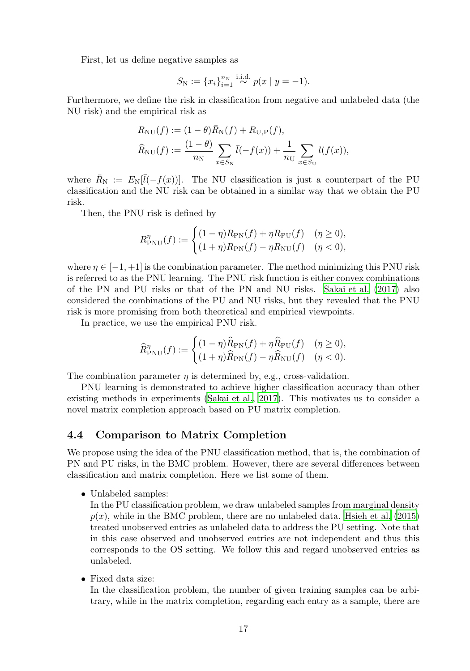First, let us define negative samples as

$$
S_{\rm N} := \{x_i\}_{i=1}^{n_{\rm N}} \stackrel{\text{i.i.d.}}{\sim} p(x \mid y = -1).
$$

Furthermore, we define the risk in classification from negative and unlabeled data (the NU risk) and the empirical risk as

$$
R_{\rm NU}(f) := (1 - \theta) \bar{R}_{\rm N}(f) + R_{\rm U,P}(f),
$$
  

$$
\hat{R}_{\rm NU}(f) := \frac{(1 - \theta)}{n_{\rm N}} \sum_{x \in S_{\rm N}} \bar{l}(-f(x)) + \frac{1}{n_{\rm U}} \sum_{x \in S_{\rm U}} l(f(x)),
$$

where  $\bar{R}_{\rm N} := E_{\rm N}[\bar{l}(-f(x))]$ . The NU classification is just a counterpart of the PU classification and the NU risk can be obtained in a similar way that we obtain the PU risk.

Then, the PNU risk is defined by

$$
R_{\text{PNU}}^{\eta}(f) := \begin{cases} (1 - \eta) R_{\text{PN}}(f) + \eta R_{\text{PU}}(f) & (\eta \ge 0), \\ (1 + \eta) R_{\text{PN}}(f) - \eta R_{\text{NU}}(f) & (\eta < 0), \end{cases}
$$

where  $\eta \in [-1, +1]$  is the combination parameter. The method minimizing this PNU risk is referred to as the PNU learning. The PNU risk function is either convex combinations of the PN and PU risks or that of the PN and NU risks. [Sakai et al. \(2017\)](#page-29-3) also considered the combinations of the PU and NU risks, but they revealed that the PNU risk is more promising from both theoretical and empirical viewpoints.

In practice, we use the empirical PNU risk.

$$
\widehat{R}_{\text{PNU}}^{\eta}(f) := \begin{cases} (1-\eta)\widehat{R}_{\text{PN}}(f) + \eta \widehat{R}_{\text{PU}}(f) & (\eta \ge 0), \\ (1+\eta)\widehat{R}_{\text{PN}}(f) - \eta \widehat{R}_{\text{NU}}(f) & (\eta < 0). \end{cases}
$$

The combination parameter  $\eta$  is determined by, e.g., cross-validation.

PNU learning is demonstrated to achieve higher classification accuracy than other existing methods in experiments [\(Sakai et al., 2017\)](#page-29-3). This motivates us to consider a novel matrix completion approach based on PU matrix completion.

### 4.4 Comparison to Matrix Completion

We propose using the idea of the PNU classification method, that is, the combination of PN and PU risks, in the BMC problem. However, there are several differences between classification and matrix completion. Here we list some of them.

• Unlabeled samples:

In the PU classification problem, we draw unlabeled samples from marginal density  $p(x)$ , while in the BMC problem, there are no unlabeled data. [Hsieh et al. \(2015](#page-28-6)) treated unobserved entries as unlabeled data to address the PU setting. Note that in this case observed and unobserved entries are not independent and thus this corresponds to the OS setting. We follow this and regard unobserved entries as unlabeled.

• Fixed data size:

In the classification problem, the number of given training samples can be arbitrary, while in the matrix completion, regarding each entry as a sample, there are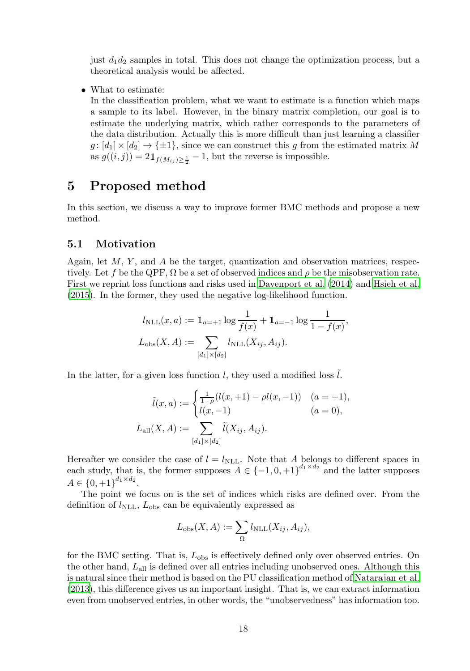just  $d_1d_2$  samples in total. This does not change the optimization process, but a theoretical analysis would be affected.

• What to estimate:

In the classification problem, what we want to estimate is a function which maps a sample to its label. However, in the binary matrix completion, our goal is to estimate the underlying matrix, which rather corresponds to the parameters of the data distribution. Actually this is more difficult than just learning a classifier  $g: [d_1] \times [d_2] \rightarrow {\pm 1}$ , since we can construct this g from the estimated matrix M as  $g((i, j)) = 2\mathbb{1}_{f(M_{ij})\geq \frac{1}{2}} - 1$ , but the reverse is impossible.

## <span id="page-17-0"></span>5 Proposed method

In this section, we discuss a way to improve former BMC methods and propose a new method.

### 5.1 Motivation

Again, let  $M$ ,  $Y$ , and  $A$  be the target, quantization and observation matrices, respectively. Let f be the QPF,  $\Omega$  be a set of observed indices and  $\rho$  be the misobservation rate. First we reprint loss functions and risks used in [Davenport et al. \(2014](#page-27-6)) and [Hsieh et al.](#page-28-6) [\(2015\)](#page-28-6). In the former, they used the negative log-likelihood function.

$$
l_{\text{NLL}}(x, a) := 1\!\!1_{a = +1} \log \frac{1}{f(x)} + 1\!\!1_{a = -1} \log \frac{1}{1 - f(x)},
$$
  

$$
L_{\text{obs}}(X, A) := \sum_{[d_1] \times [d_2]} l_{\text{NLL}}(X_{ij}, A_{ij}).
$$

In the latter, for a given loss function  $l$ , they used a modified loss  $l$ .

$$
\tilde{l}(x, a) := \begin{cases}\n\frac{1}{1 - \rho}(l(x, +1) - \rho l(x, -1)) & (a = +1), \\
l(x, -1) & (a = 0),\n\end{cases}
$$
\n
$$
L_{\text{all}}(X, A) := \sum_{[d_1] \times [d_2]} \tilde{l}(X_{ij}, A_{ij}).
$$

Hereafter we consider the case of  $l = l_{\text{NLL}}$ . Note that A belongs to different spaces in each study, that is, the former supposes  $A \in \{-1,0,+1\}^{d_1 \times d_2}$  and the latter supposes  $A \in \{0, +1\}^{d_1 \times d_2}.$ 

The point we focus on is the set of indices which risks are defined over. From the definition of  $l_{\text{NLL}}$ ,  $L_{\text{obs}}$  can be equivalently expressed as

$$
L_{\rm obs}(X, A) := \sum_{\Omega} l_{\rm NLL}(X_{ij}, A_{ij}),
$$

for the BMC setting. That is,  $L_{obs}$  is effectively defined only over observed entries. On the other hand,  $L_{all}$  is defined over all entries including unobserved ones. Although this is natural since their method is based on the PU classification method of [Natarajan et al.](#page-29-7) [\(2013\)](#page-29-7), this difference gives us an important insight. That is, we can extract information even from unobserved entries, in other words, the "unobservedness" has information too.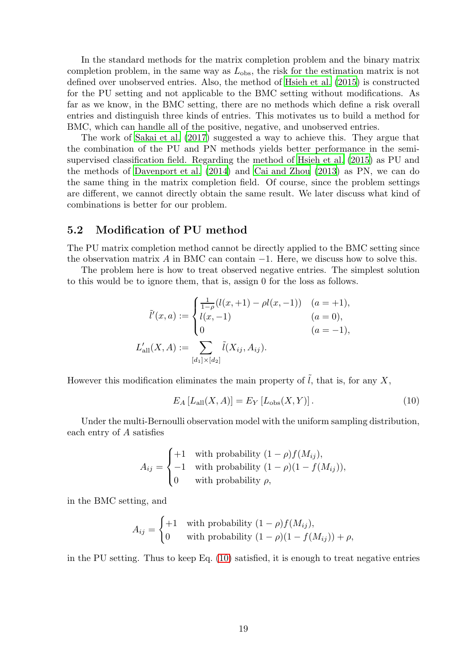In the standard methods for the matrix completion problem and the binary matrix completion problem, in the same way as  $L_{\text{obs}}$ , the risk for the estimation matrix is not defined over unobserved entries. Also, the method of [Hsieh et al. \(2015\)](#page-28-6) is constructed for the PU setting and not applicable to the BMC setting without modifications. As far as we know, in the BMC setting, there are no methods which define a risk overall entries and distinguish three kinds of entries. This motivates us to build a method for BMC, which can handle all of the positive, negative, and unobserved entries.

The work of [Sakai et al. \(2017](#page-29-3)) suggested a way to achieve this. They argue that the combination of the PU and PN methods yields better performance in the semisupervised classification field. Regarding the method of [Hsieh et al. \(2015](#page-28-6)) as PU and the methods of [Davenport et al. \(2014\)](#page-27-6) and [Cai and Zhou \(2013\)](#page-27-7) as PN, we can do the same thing in the matrix completion field. Of course, since the problem settings are different, we cannot directly obtain the same result. We later discuss what kind of combinations is better for our problem.

#### 5.2 Modification of PU method

The PU matrix completion method cannot be directly applied to the BMC setting since the observation matrix A in BMC can contain  $-1$ . Here, we discuss how to solve this.

The problem here is how to treat observed negative entries. The simplest solution to this would be to ignore them, that is, assign 0 for the loss as follows.

$$
\tilde{l}'(x, a) := \begin{cases}\n\frac{1}{1-\rho}(l(x, +1) - \rho l(x, -1)) & (a = +1), \\
l(x, -1) & (a = 0), \\
0 & (a = -1),\n\end{cases}
$$
\n
$$
L'_{\text{all}}(X, A) := \sum_{[d_1] \times [d_2]} \tilde{l}(X_{ij}, A_{ij}).
$$

However this modification eliminates the main property of  $\tilde{l}$ , that is, for any X,

<span id="page-18-0"></span>
$$
E_A [L_{\text{all}}(X, A)] = E_Y [L_{\text{obs}}(X, Y)].
$$
\n(10)

Under the multi-Bernoulli observation model with the uniform sampling distribution, each entry of A satisfies

$$
A_{ij} = \begin{cases} +1 & \text{with probability } (1 - \rho)f(M_{ij}), \\ -1 & \text{with probability } (1 - \rho)(1 - f(M_{ij})), \\ 0 & \text{with probability } \rho, \end{cases}
$$

in the BMC setting, and

$$
A_{ij} = \begin{cases} +1 & \text{with probability } (1 - \rho)f(M_{ij}), \\ 0 & \text{with probability } (1 - \rho)(1 - f(M_{ij})) + \rho, \end{cases}
$$

in the PU setting. Thus to keep Eq.  $(10)$  satisfied, it is enough to treat negative entries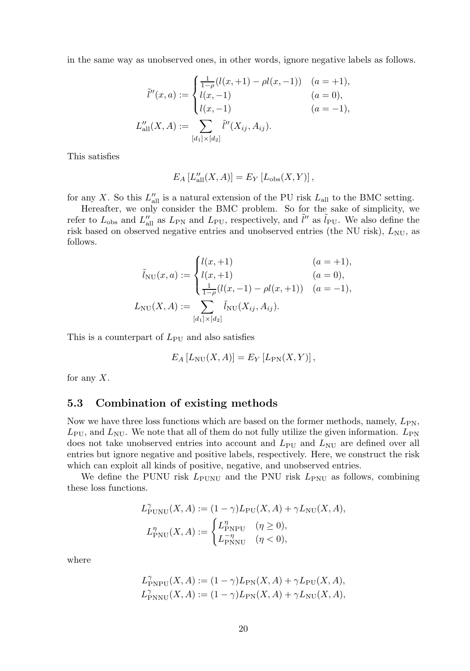in the same way as unobserved ones, in other words, ignore negative labels as follows.

$$
\tilde{l}''(x, a) := \begin{cases}\n\frac{1}{1-\rho}(l(x, +1) - \rho l(x, -1)) & (a = +1), \\
l(x, -1) & (a = 0), \\
l(x, -1) & (a = -1),\n\end{cases}
$$
\n
$$
L''_{\text{all}}(X, A) := \sum_{[d_1] \times [d_2]} \tilde{l}''(X_{ij}, A_{ij}).
$$

This satisfies

$$
E_A [L''_{\text{all}}(X, A)] = E_Y [L_{\text{obs}}(X, Y)],
$$

for any X. So this  $L''_{\text{all}}$  is a natural extension of the PU risk  $L_{\text{all}}$  to the BMC setting.

Hereafter, we only consider the BMC problem. So for the sake of simplicity, we refer to  $L_{obs}$  and  $L''_{all}$  as  $L_{PN}$  and  $L_{PU}$ , respectively, and  $\tilde{l}''$  as  $\tilde{l}_{PU}$ . We also define the risk based on observed negative entries and unobserved entries (the NU risk),  $L_{\text{NU}}$ , as follows.

$$
\tilde{l}_{\text{NU}}(x, a) := \begin{cases}\n l(x, +1) & (a = +1), \\
 l(x, +1) & (a = 0), \\
 \frac{1}{1 - \rho}(l(x, -1) - \rho l(x, +1)) & (a = -1), \\
 L_{\text{NU}}(X, A) := \sum_{[d_1] \times [d_2]} \tilde{l}_{\text{NU}}(X_{ij}, A_{ij}).\n \end{cases}
$$

This is a counterpart of  $L_{\text{PU}}$  and also satisfies

$$
E_A [L_{\text{NU}}(X, A)] = E_Y [L_{\text{PN}}(X, Y)],
$$

for any  $X$ .

### 5.3 Combination of existing methods

Now we have three loss functions which are based on the former methods, namely,  $L_{PN}$ ,  $L_{\rm PU}$ , and  $L_{\rm NU}$ . We note that all of them do not fully utilize the given information.  $L_{\rm PN}$ does not take unobserved entries into account and  $L_{\text{PU}}$  and  $L_{\text{NU}}$  are defined over all entries but ignore negative and positive labels, respectively. Here, we construct the risk which can exploit all kinds of positive, negative, and unobserved entries.

We define the PUNU risk  $L_{\text{PUNU}}$  and the PNU risk  $L_{\text{PNU}}$  as follows, combining these loss functions.

$$
L_{\text{PUNU}}^{\gamma}(X, A) := (1 - \gamma)L_{\text{PU}}(X, A) + \gamma L_{\text{NU}}(X, A),
$$
  

$$
L_{\text{PNU}}^{\eta}(X, A) := \begin{cases} L_{\text{PNPU}}^{\eta} & (\eta \ge 0), \\ L_{\text{PNNU}}^{-\eta} & (\eta < 0), \end{cases}
$$

where

$$
\begin{aligned} L^{\gamma}_{\text{PNPU}}(X, A) &:= (1 - \gamma) L_{\text{PN}}(X, A) + \gamma L_{\text{PU}}(X, A), \\ L^{\gamma}_{\text{PNNU}}(X, A) &:= (1 - \gamma) L_{\text{PN}}(X, A) + \gamma L_{\text{NU}}(X, A), \end{aligned}
$$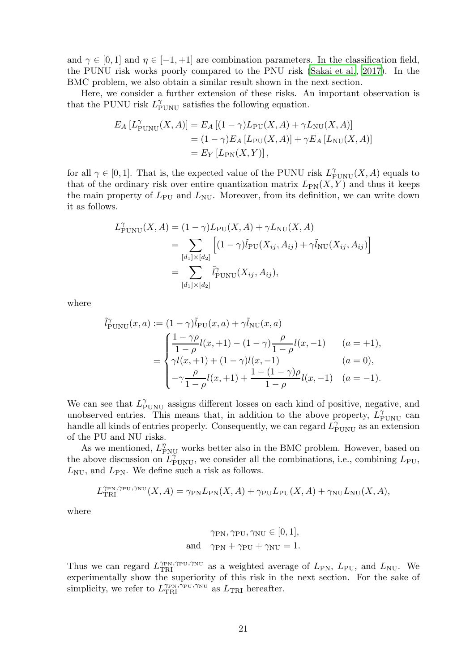and  $\gamma \in [0,1]$  and  $\eta \in [-1,+1]$  are combination parameters. In the classification field, the PUNU risk works poorly compared to the PNU risk [\(Sakai et al., 2017\)](#page-29-3). In the BMC problem, we also obtain a similar result shown in the next section.

Here, we consider a further extension of these risks. An important observation is that the PUNU risk  $L_{\text{PUNU}}^{\gamma}$  satisfies the following equation.

$$
E_A [L_{\text{PUNU}}^{\gamma}(X, A)] = E_A [(1 - \gamma) L_{\text{PU}}(X, A) + \gamma L_{\text{NU}}(X, A)]
$$
  
=  $(1 - \gamma) E_A [L_{\text{PU}}(X, A)] + \gamma E_A [L_{\text{NU}}(X, A)]$   
=  $E_Y [L_{\text{PN}}(X, Y)],$ 

for all  $\gamma \in [0,1]$ . That is, the expected value of the PUNU risk  $L_{\text{PUNU}}^{\gamma}(X, A)$  equals to that of the ordinary risk over entire quantization matrix  $L_{PN}(X, Y)$  and thus it keeps the main property of  $L_{\text{PU}}$  and  $L_{\text{NU}}$ . Moreover, from its definition, we can write down it as follows.

$$
L_{\text{PUNU}}^{\gamma}(X, A) = (1 - \gamma)L_{\text{PU}}(X, A) + \gamma L_{\text{NU}}(X, A)
$$
  
= 
$$
\sum_{[d_1] \times [d_2]} \left[ (1 - \gamma)\tilde{l}_{\text{PU}}(X_{ij}, A_{ij}) + \gamma \tilde{l}_{\text{NU}}(X_{ij}, A_{ij}) \right]
$$
  
= 
$$
\sum_{[d_1] \times [d_2]} \tilde{l}_{\text{PUNU}}^{\gamma}(X_{ij}, A_{ij}),
$$

where

$$
\tilde{l}_{\text{PUNU}}^{\gamma}(x, a) := (1 - \gamma)\tilde{l}_{\text{PU}}(x, a) + \gamma \tilde{l}_{\text{NU}}(x, a)
$$
\n
$$
= \begin{cases}\n\frac{1 - \gamma \rho}{1 - \rho} l(x, +1) - (1 - \gamma) \frac{\rho}{1 - \rho} l(x, -1) & (a = +1), \\
\gamma l(x, +1) + (1 - \gamma) l(x, -1) & (a = 0), \\
-\gamma \frac{\rho}{1 - \rho} l(x, +1) + \frac{1 - (1 - \gamma)\rho}{1 - \rho} l(x, -1) & (a = -1).\n\end{cases}
$$

We can see that  $L_{\text{PUNU}}^{\gamma}$  assigns different losses on each kind of positive, negative, and unobserved entries. This means that, in addition to the above property,  $\tilde{L}_{\text{PUNU}}^{\gamma}$  can handle all kinds of entries properly. Consequently, we can regard  $\tilde{L}_{\text{PUNU}}^{\gamma}$  as an extension of the PU and NU risks.

As we mentioned,  $L_{\mathrm{PNU}}^{\eta}$  works better also in the BMC problem. However, based on the above discussion on  $\tilde{L}_{\text{PUNU}}^{\gamma}$ , we consider all the combinations, i.e., combining  $L_{\text{PU}}$ ,  $L_{\text{NU}}$ , and  $L_{\text{PN}}$ . We define such a risk as follows.

$$
L_{\text{TRI}}^{\gamma_{\text{PN}},\gamma_{\text{NU}}}(X,A) = \gamma_{\text{PN}} L_{\text{PN}}(X,A) + \gamma_{\text{PU}} L_{\text{PU}}(X,A) + \gamma_{\text{NU}} L_{\text{NU}}(X,A),
$$

where

$$
\gamma_{\text{PN}}, \gamma_{\text{PU}}, \gamma_{\text{NU}} \in [0, 1],
$$
  
and 
$$
\gamma_{\text{PN}} + \gamma_{\text{PU}} + \gamma_{\text{NU}} = 1.
$$

Thus we can regard  $L_{\text{TRI}}^{\gamma_{\text{PN}},\gamma_{\text{PU}},\gamma_{\text{NU}}}$  as a weighted average of  $L_{\text{PN}}, L_{\text{PU}},$  and  $L_{\text{NU}}$ . We experimentally show the superiority of this risk in the next section. For the sake of simplicity, we refer to  $L_{\text{TRI}}^{\gamma_{\text{PN}}, \bar{\gamma}_{\text{PU}}, \gamma_{\text{NU}}}$  as  $L_{\text{TRI}}$  hereafter.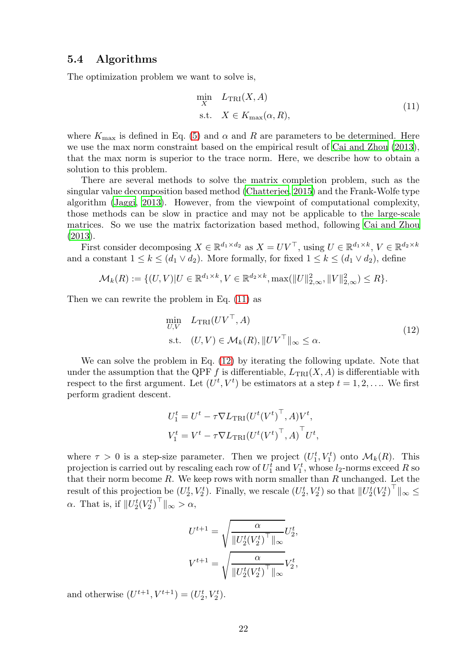#### 5.4 Algorithms

The optimization problem we want to solve is,

<span id="page-21-0"></span>
$$
\min_{X} L_{\text{TRI}}(X, A) \n\text{s.t.} \quad X \in K_{\text{max}}(\alpha, R),
$$
\n(11)

where  $K_{\text{max}}$  is defined in Eq. [\(5\)](#page-5-0) and  $\alpha$  and R are parameters to be determined. Here we use the max norm constraint based on the empirical result of Cai [and Zhou \(2013\)](#page-27-7), that the max norm is superior to the trace norm. Here, we describe how to obtain a solution to this problem.

There are several methods to solve the matrix completion problem, such as the singular value decomposition based method [\(Chatterjee, 2015\)](#page-27-10) and the Frank-Wolfe type algorithm [\(Jaggi](#page-28-14), [2013\)](#page-28-14). However, from the viewpoint of computational complexity, those methods can be slow in practice and may not be applicable to the large-scale matrices. So we use the matrix factorization based method, following [Cai and Zhou](#page-27-7) [\(2013\)](#page-27-7).

First consider decomposing  $X \in \mathbb{R}^{d_1 \times d_2}$  as  $X = UV^{\top}$ , using  $U \in \mathbb{R}^{d_1 \times k}$ ,  $V \in \mathbb{R}^{d_2 \times k}$ and a constant  $1 \leq k \leq (d_1 \vee d_2)$ . More formally, for fixed  $1 \leq k \leq (d_1 \vee d_2)$ , define

$$
\mathcal{M}_{k}(R) := \{ (U, V) | U \in \mathbb{R}^{d_1 \times k}, V \in \mathbb{R}^{d_2 \times k}, \max(||U||_{2,\infty}^2, ||V||_{2,\infty}^2) \le R \}.
$$

Then we can rewrite the problem in Eq. [\(11\)](#page-21-0) as

<span id="page-21-1"></span>
$$
\min_{U,V} L_{\text{TRI}}(UV^{\top}, A)
$$
\n
$$
\text{s.t.} \quad (U, V) \in \mathcal{M}_k(R), \quad \|UV^{\top}\|_{\infty} \le \alpha. \tag{12}
$$

We can solve the problem in Eq. [\(12\)](#page-21-1) by iterating the following update. Note that under the assumption that the QPF f is differentiable,  $L_{\text{TRI}}(X, A)$  is differentiable with respect to the first argument. Let  $(U^t, V^t)$  be estimators at a step  $t = 1, 2, \ldots$  We first perform gradient descent.

$$
U_1^t = U^t - \tau \nabla L_{\text{TRI}} (U^t (V^t)^{\top}, A) V^t,
$$
  
\n
$$
V_1^t = V^t - \tau \nabla L_{\text{TRI}} (U^t (V^t)^{\top}, A)^{\top} U^t,
$$

where  $\tau > 0$  is a step-size parameter. Then we project  $(U_1^t, V_1^t)$  onto  $\mathcal{M}_k(R)$ . This projection is carried out by rescaling each row of  $U_1^t$  and  $V_1^t$ , whose  $l_2$ -norms exceed R so that their norm become  $R$ . We keep rows with norm smaller than  $R$  unchanged. Let the result of this projection be  $(U_2^t, V_2^t)$ . Finally, we rescale  $(U_2^t, V_2^t)$  so that  $||U_2^t(V_2^t)^+||_{\infty} \le$  $\alpha$ . That is, if  $||U_2^t(V_2^t)^{\top}||_{\infty} > \alpha$ ,

$$
U^{t+1} = \sqrt{\frac{\alpha}{\|U_2^t({V_2^t})^\top\|_{\infty}}} U_2^t,
$$
  

$$
V^{t+1} = \sqrt{\frac{\alpha}{\|U_2^t({V_2^t})^\top\|_{\infty}}} V_2^t,
$$

and otherwise  $(U^{t+1}, V^{t+1}) = (U_2^t, V_2^t)$ .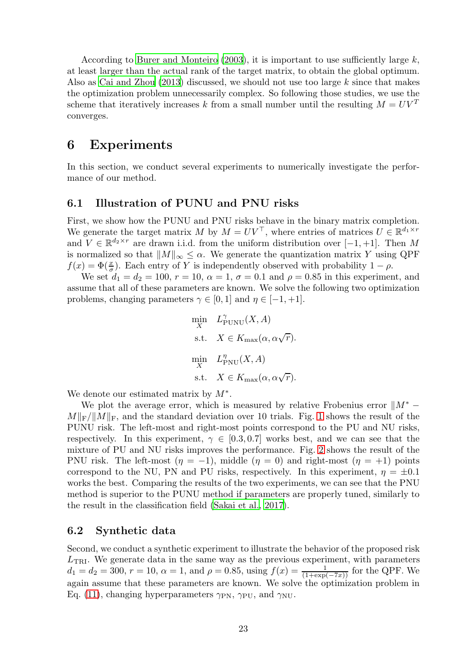According to Burer and Monteiro  $(2003)$ , it is important to use sufficiently large k, at least larger than the actual rank of the target matrix, to obtain the global optimum. Also as [Cai and Zhou \(2013\)](#page-27-7) discussed, we should not use too large k since that makes the optimization problem unnecessarily complex. So following those studies, we use the scheme that iteratively increases k from a small number until the resulting  $M = UV^T$ converges.

## <span id="page-22-0"></span>6 Experiments

In this section, we conduct several experiments to numerically investigate the performance of our method.

### 6.1 Illustration of PUNU and PNU risks

First, we show how the PUNU and PNU risks behave in the binary matrix completion. We generate the target matrix M by  $M = UV^{\top}$ , where entries of matrices  $U \in \mathbb{R}^{d_1 \times r}$ and  $V \in \mathbb{R}^{d_2 \times r}$  are drawn i.i.d. from the uniform distribution over  $[-1, +1]$ . Then M is normalized so that  $||M||_{\infty} \leq \alpha$ . We generate the quantization matrix Y using QPF  $f(x) = \Phi(\frac{x}{\sigma})$ . Each entry of Y is independently observed with probability  $1 - \rho$ .

We set  $d_1 = d_2 = 100, r = 10, \alpha = 1, \sigma = 0.1$  and  $\rho = 0.85$  in this experiment, and assume that all of these parameters are known. We solve the following two optimization problems, changing parameters  $\gamma \in [0,1]$  and  $\eta \in [-1,+1]$ .

$$
\begin{aligned}\n\min_{X} \quad & L_{\text{PUNU}}^{\gamma}(X, A) \\
\text{s.t.} \quad & X \in K_{\text{max}}(\alpha, \alpha \sqrt{r}). \\
\min_{X} \quad & L_{\text{PNU}}^{\eta}(X, A) \\
\text{s.t.} \quad & X \in K_{\text{max}}(\alpha, \alpha \sqrt{r}).\n\end{aligned}
$$

We denote our estimated matrix by  $M^*$ .

We plot the average error, which is measured by relative Frobenius error  $\|M^* M\Vert_{\text{F}}/\Vert M\Vert_{\text{F}}$ , and the standard deviation over [1](#page-23-0)0 trials. Fig. 1 shows the result of the PUNU risk. The left-most and right-most points correspond to the PU and NU risks, respectively. In this experiment,  $\gamma \in [0.3, 0.7]$  works best, and we can see that the mixture of PU and NU risks improves the performance. Fig. [2](#page-23-1) shows the result of the PNU risk. The left-most  $(\eta = -1)$ , middle  $(\eta = 0)$  and right-most  $(\eta = +1)$  points correspond to the NU, PN and PU risks, respectively. In this experiment,  $\eta = \pm 0.1$ works the best. Comparing the results of the two experiments, we can see that the PNU method is superior to the PUNU method if parameters are properly tuned, similarly to the result in the classification field [\(Sakai et al., 2017\)](#page-29-3).

### 6.2 Synthetic data

Second, we conduct a synthetic experiment to illustrate the behavior of the proposed risk  $L_{\text{TRI}}$ . We generate data in the same way as the previous experiment, with parameters  $d_1 = d_2 = 300, r = 10, \alpha = 1$ , and  $\rho = 0.85$ , using  $f(x) = \frac{1}{(1 + \exp(-7x))}$  for the QPF. We again assume that these parameters are known. We solve the optimization problem in Eq. [\(11\)](#page-21-0), changing hyperparameters  $\gamma_{\rm PN}$ ,  $\gamma_{\rm PU}$ , and  $\gamma_{\rm NU}$ .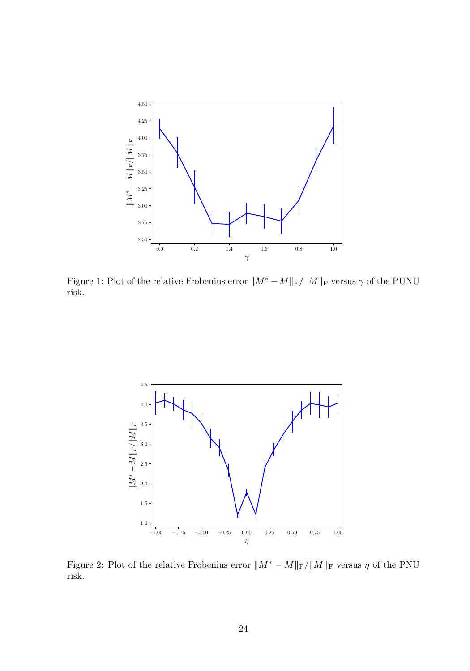

<span id="page-23-0"></span>Figure 1: Plot of the relative Frobenius error  $||M^* - M||_F/||M||_F$  versus  $\gamma$  of the PUNU risk.



<span id="page-23-1"></span>Figure 2: Plot of the relative Frobenius error  $||M^* - M||_F/||M||_F$  versus  $\eta$  of the PNU vick risk.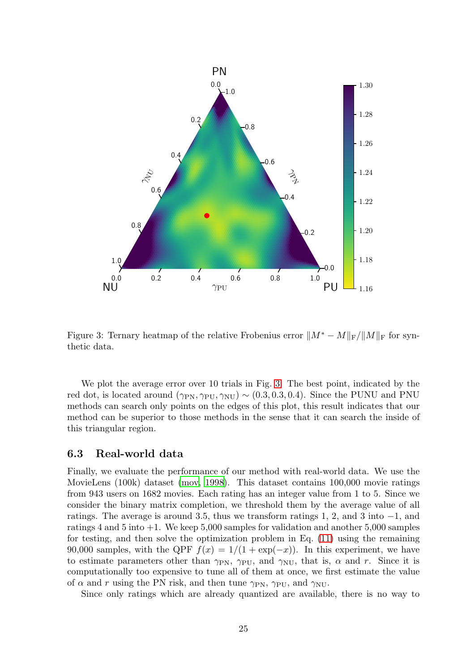

<span id="page-24-0"></span>Figure 3: Ternary heatmap of the relative Frobenius error  $||M^* - M||_F/||M||_F$  for synthetic data.

We plot the average error over 10 trials in Fig. [3.](#page-24-0) The best point, indicated by the red dot, is located around  $(\gamma_{\rm PN}, \gamma_{\rm PU}, \gamma_{\rm NU}) \sim (0.3, 0.3, 0.4)$ . Since the PUNU and PNU methods can search only points on the edges of this plot, this result indicates that our method can be superior to those methods in the sense that it can search the inside of this triangular region.

#### 6.3 Real-world data

Finally, we evaluate the performance of our method with real-world data. We use the MovieLens (100k) dataset [\(mov, 1998\)](#page-27-12). This dataset contains 100,000 movie ratings from 943 users on 1682 movies. Each rating has an integer value from 1 to 5. Since we consider the binary matrix completion, we threshold them by the average value of all ratings. The average is around 3.5, thus we transform ratings 1, 2, and 3 into −1, and ratings 4 and 5 into +1. We keep 5,000 samples for validation and another 5,000 samples for testing, and then solve the optimization problem in Eq. [\(11\)](#page-21-0) using the remaining 90,000 samples, with the QPF  $f(x) = 1/(1 + \exp(-x))$ . In this experiment, we have to estimate parameters other than  $\gamma_{\text{PN}}$ ,  $\gamma_{\text{PU}}$ , and  $\gamma_{\text{NU}}$ , that is,  $\alpha$  and r. Since it is computationally too expensive to tune all of them at once, we first estimate the value of  $\alpha$  and r using the PN risk, and then tune  $\gamma_{\rm PN}$ ,  $\gamma_{\rm PU}$ , and  $\gamma_{\rm NU}$ .

Since only ratings which are already quantized are available, there is no way to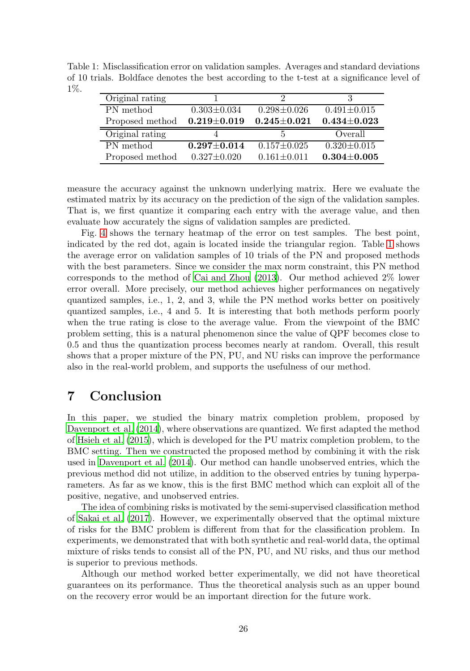Table 1: Misclassification error on validation samples. Averages and standard deviations of 10 trials. Boldface denotes the best according to the t-test at a significance level of 1%.

<span id="page-25-1"></span>

| Original rating |                   |                   |                   |
|-----------------|-------------------|-------------------|-------------------|
| PN method       | $0.303 \pm 0.034$ | $0.298 \pm 0.026$ | $0.491 \pm 0.015$ |
| Proposed method | $0.219\pm0.019$   | $0.245 \pm 0.021$ | $0.434 \pm 0.023$ |
|                 |                   |                   |                   |
| Original rating |                   | 5                 | Overall           |
| PN method       | $0.297 \pm 0.014$ | $0.157 \pm 0.025$ | $0.320 \pm 0.015$ |

measure the accuracy against the unknown underlying matrix. Here we evaluate the estimated matrix by its accuracy on the prediction of the sign of the validation samples. That is, we first quantize it comparing each entry with the average value, and then evaluate how accurately the signs of validation samples are predicted.

Fig. [4](#page-26-0) shows the ternary heatmap of the error on test samples. The best point, indicated by the red dot, again is located inside the triangular region. Table [1](#page-25-1) shows the average error on validation samples of 10 trials of the PN and proposed methods with the best parameters. Since we consider the max norm constraint, this PN method corresponds to the method of [Cai and Zhou \(2013](#page-27-7)). Our method achieved 2% lower error overall. More precisely, our method achieves higher performances on negatively quantized samples, i.e., 1, 2, and 3, while the PN method works better on positively quantized samples, i.e., 4 and 5. It is interesting that both methods perform poorly when the true rating is close to the average value. From the viewpoint of the BMC problem setting, this is a natural phenomenon since the value of QPF becomes close to 0.5 and thus the quantization process becomes nearly at random. Overall, this result shows that a proper mixture of the PN, PU, and NU risks can improve the performance also in the real-world problem, and supports the usefulness of our method.

## <span id="page-25-0"></span>7 Conclusion

In this paper, we studied the binary matrix completion problem, proposed by [Davenport et al. \(2014\)](#page-27-6), where observations are quantized. We first adapted the method of [Hsieh et al. \(2015](#page-28-6)), which is developed for the PU matrix completion problem, to the BMC setting. Then we constructed the proposed method by combining it with the risk used in [Davenport et al. \(2014](#page-27-6)). Our method can handle unobserved entries, which the previous method did not utilize, in addition to the observed entries by tuning hyperparameters. As far as we know, this is the first BMC method which can exploit all of the positive, negative, and unobserved entries.

The idea of combining risks is motivated by the semi-supervised classification method of [Sakai et al. \(2017\)](#page-29-3). However, we experimentally observed that the optimal mixture of risks for the BMC problem is different from that for the classification problem. In experiments, we demonstrated that with both synthetic and real-world data, the optimal mixture of risks tends to consist all of the PN, PU, and NU risks, and thus our method is superior to previous methods.

Although our method worked better experimentally, we did not have theoretical guarantees on its performance. Thus the theoretical analysis such as an upper bound on the recovery error would be an important direction for the future work.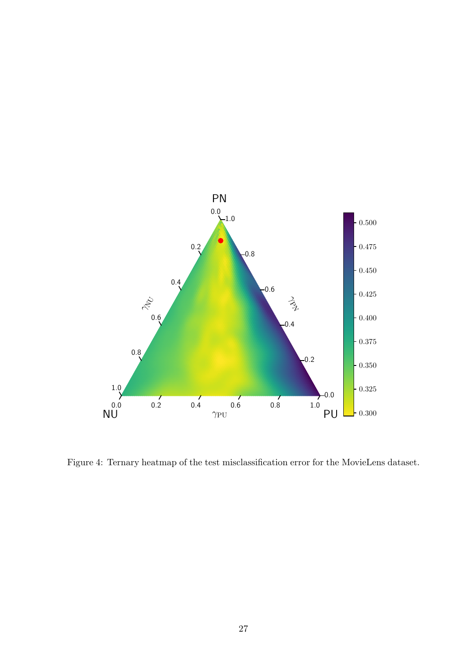

<span id="page-26-0"></span>Figure 4: Ternary heatmap of the test misclassification error for the MovieLens dataset.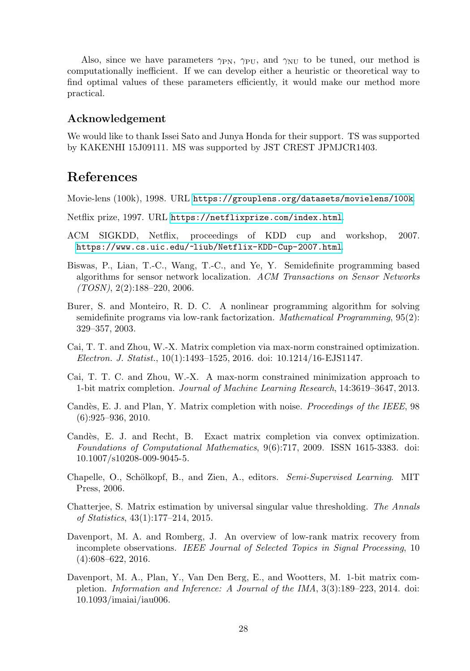Also, since we have parameters  $\gamma_{\rm PN}$ ,  $\gamma_{\rm PU}$ , and  $\gamma_{\rm NU}$  to be tuned, our method is computationally inefficient. If we can develop either a heuristic or theoretical way to find optimal values of these parameters efficiently, it would make our method more practical.

### Acknowledgement

We would like to thank Issei Sato and Junya Honda for their support. TS was supported by KAKENHI 15J09111. MS was supported by JST CREST JPMJCR1403.

## References

<span id="page-27-12"></span>Movie-lens (100k), 1998. URL <https://grouplens.org/datasets/movielens/100k>.

- <span id="page-27-4"></span>Netflix prize, 1997. URL <https://netflixprize.com/index.html>.
- <span id="page-27-5"></span>ACM SIGKDD, Netflix, proceedings of KDD cup and workshop, 2007. <https://www.cs.uic.edu/~liub/Netflix-KDD-Cup-2007.html>.
- <span id="page-27-2"></span>Biswas, P., Lian, T.-C., Wang, T.-C., and Ye, Y. Semidefinite programming based algorithms for sensor network localization. *ACM Transactions on Sensor Networks (TOSN)*, 2(2):188–220, 2006.
- <span id="page-27-11"></span>Burer, S. and Monteiro, R. D. C. A nonlinear programming algorithm for solving semidefinite programs via low-rank factorization. *Mathematical Programming*, 95(2): 329–357, 2003.
- <span id="page-27-3"></span>Cai, T. T. and Zhou, W.-X. Matrix completion via max-norm constrained optimization. *Electron. J. Statist.*, 10(1):1493–1525, 2016. doi: 10.1214/16-EJS1147.
- <span id="page-27-7"></span>Cai, T. T. C. and Zhou, W.-X. A max-norm constrained minimization approach to 1-bit matrix completion. *Journal of Machine Learning Research*, 14:3619–3647, 2013.
- <span id="page-27-8"></span>Candès, E. J. and Plan, Y. Matrix completion with noise. *Proceedings of the IEEE*, 98  $(6):925-936, 2010.$
- <span id="page-27-0"></span>Candès, E. J. and Recht, B. Exact matrix completion via convex optimization. *Foundations of Computational Mathematics*, 9(6):717, 2009. ISSN 1615-3383. doi: 10.1007/s10208-009-9045-5.
- <span id="page-27-9"></span>Chapelle, O., Schölkopf, B., and Zien, A., editors. *Semi-Supervised Learning*. MIT Press, 2006.
- <span id="page-27-10"></span>Chatterjee, S. Matrix estimation by universal singular value thresholding. *The Annals of Statistics*, 43(1):177–214, 2015.
- <span id="page-27-1"></span>Davenport, M. A. and Romberg, J. An overview of low-rank matrix recovery from incomplete observations. *IEEE Journal of Selected Topics in Signal Processing*, 10 (4):608–622, 2016.
- <span id="page-27-6"></span>Davenport, M. A., Plan, Y., Van Den Berg, E., and Wootters, M. 1-bit matrix completion. *Information and Inference: A Journal of the IMA*, 3(3):189–223, 2014. doi: 10.1093/imaiai/iau006.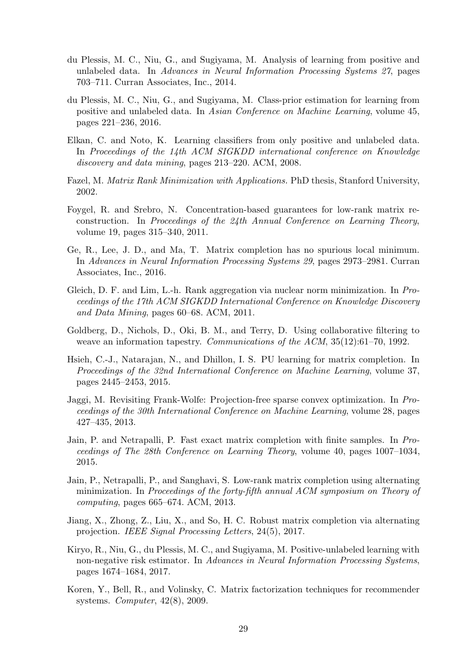- <span id="page-28-12"></span>du Plessis, M. C., Niu, G., and Sugiyama, M. Analysis of learning from positive and unlabeled data. In *Advances in Neural Information Processing Systems 27*, pages 703–711. Curran Associates, Inc., 2014.
- <span id="page-28-13"></span>du Plessis, M. C., Niu, G., and Sugiyama, M. Class-prior estimation for learning from positive and unlabeled data. In *Asian Conference on Machine Learning*, volume 45, pages 221–236, 2016.
- <span id="page-28-4"></span>Elkan, C. and Noto, K. Learning classifiers from only positive and unlabeled data. In *Proceedings of the 14th ACM SIGKDD international conference on Knowledge discovery and data mining*, pages 213–220. ACM, 2008.
- <span id="page-28-0"></span>Fazel, M. *Matrix Rank Minimization with Applications.* PhD thesis, Stanford University, 2002.
- <span id="page-28-7"></span>Foygel, R. and Srebro, N. Concentration-based guarantees for low-rank matrix reconstruction. In *Proceedings of the 24th Annual Conference on Learning Theory*, volume 19, pages 315–340, 2011.
- <span id="page-28-3"></span>Ge, R., Lee, J. D., and Ma, T. Matrix completion has no spurious local minimum. In *Advances in Neural Information Processing Systems 29*, pages 2973–2981. Curran Associates, Inc., 2016.
- <span id="page-28-2"></span>Gleich, D. F. and Lim, L.-h. Rank aggregation via nuclear norm minimization. In *Proceedings of the 17th ACM SIGKDD International Conference on Knowledge Discovery and Data Mining*, pages 60–68. ACM, 2011.
- <span id="page-28-1"></span>Goldberg, D., Nichols, D., Oki, B. M., and Terry, D. Using collaborative filtering to weave an information tapestry. *Communications of the ACM*, 35(12):61–70, 1992.
- <span id="page-28-6"></span>Hsieh, C.-J., Natarajan, N., and Dhillon, I. S. PU learning for matrix completion. In *Proceedings of the 32nd International Conference on Machine Learning*, volume 37, pages 2445–2453, 2015.
- <span id="page-28-14"></span>Jaggi, M. Revisiting Frank-Wolfe: Projection-free sparse convex optimization. In *Proceedings of the 30th International Conference on Machine Learning*, volume 28, pages 427–435, 2013.
- <span id="page-28-8"></span>Jain, P. and Netrapalli, P. Fast exact matrix completion with finite samples. In *Proceedings of The 28th Conference on Learning Theory*, volume 40, pages 1007–1034, 2015.
- <span id="page-28-11"></span>Jain, P., Netrapalli, P., and Sanghavi, S. Low-rank matrix completion using alternating minimization. In *Proceedings of the forty-fifth annual ACM symposium on Theory of computing*, pages 665–674. ACM, 2013.
- <span id="page-28-9"></span>Jiang, X., Zhong, Z., Liu, X., and So, H. C. Robust matrix completion via alternating projection. *IEEE Signal Processing Letters*, 24(5), 2017.
- <span id="page-28-5"></span>Kiryo, R., Niu, G., du Plessis, M. C., and Sugiyama, M. Positive-unlabeled learning with non-negative risk estimator. In *Advances in Neural Information Processing Systems*, pages 1674–1684, 2017.
- <span id="page-28-10"></span>Koren, Y., Bell, R., and Volinsky, C. Matrix factorization techniques for recommender systems. *Computer*, 42(8), 2009.